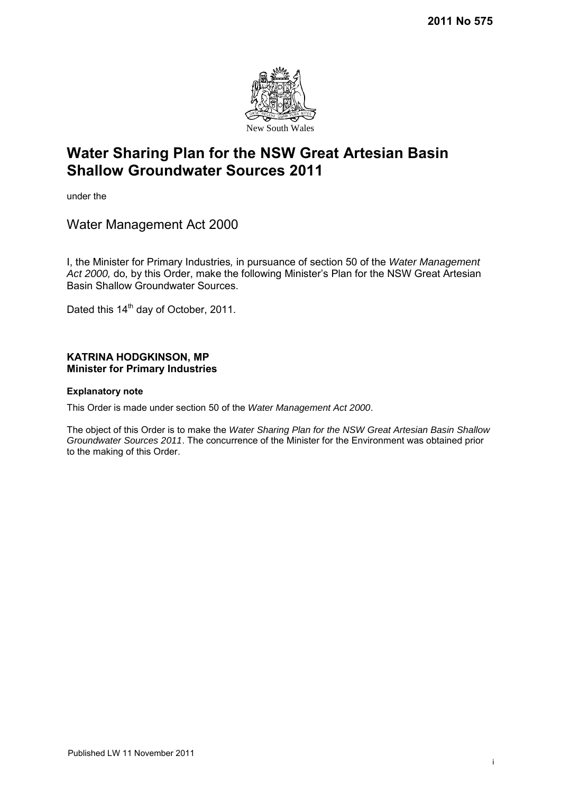

under the

Water Management Act 2000

I, the Minister for Primary Industries*,* in pursuance of section 50 of the *Water Management Act 2000,* do, by this Order, make the following Minister's Plan for the NSW Great Artesian Basin Shallow Groundwater Sources.

Dated this 14<sup>th</sup> day of October, 2011.

## **KATRINA HODGKINSON, MP Minister for Primary Industries**

## **Explanatory note**

This Order is made under section 50 of the *Water Management Act 2000*.

The object of this Order is to make the *Water Sharing Plan for the NSW Great Artesian Basin Shallow Groundwater Sources 2011*. The concurrence of the Minister for the Environment was obtained prior to the making of this Order.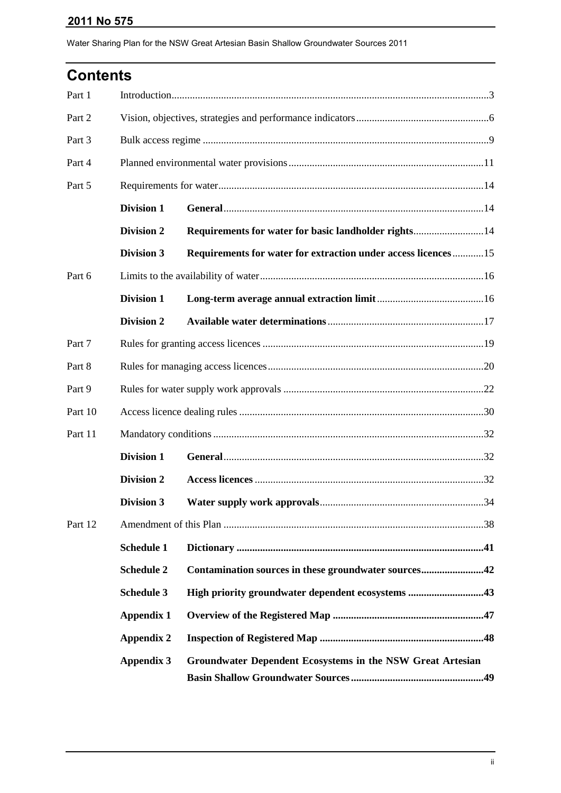| <b>Contents</b> |                   |                                                               |  |  |  |  |
|-----------------|-------------------|---------------------------------------------------------------|--|--|--|--|
| Part 1          |                   |                                                               |  |  |  |  |
| Part 2          |                   |                                                               |  |  |  |  |
| Part 3          |                   |                                                               |  |  |  |  |
| Part 4          |                   |                                                               |  |  |  |  |
| Part 5          |                   |                                                               |  |  |  |  |
|                 | <b>Division 1</b> |                                                               |  |  |  |  |
|                 | <b>Division 2</b> | Requirements for water for basic landholder rights14          |  |  |  |  |
|                 | <b>Division 3</b> | Requirements for water for extraction under access licences15 |  |  |  |  |
| Part 6          |                   |                                                               |  |  |  |  |
|                 | <b>Division 1</b> |                                                               |  |  |  |  |
|                 | <b>Division 2</b> |                                                               |  |  |  |  |
| Part 7          |                   |                                                               |  |  |  |  |
| Part 8          |                   |                                                               |  |  |  |  |
| Part 9          |                   |                                                               |  |  |  |  |
| Part 10         |                   |                                                               |  |  |  |  |
| Part 11         |                   |                                                               |  |  |  |  |
|                 | Division 1        |                                                               |  |  |  |  |
|                 | <b>Division 2</b> |                                                               |  |  |  |  |
|                 | <b>Division 3</b> |                                                               |  |  |  |  |
| Part 12         |                   |                                                               |  |  |  |  |
|                 | <b>Schedule 1</b> |                                                               |  |  |  |  |
|                 | <b>Schedule 2</b> | Contamination sources in these groundwater sources42          |  |  |  |  |
|                 | <b>Schedule 3</b> | High priority groundwater dependent ecosystems 43             |  |  |  |  |
|                 | <b>Appendix 1</b> |                                                               |  |  |  |  |
|                 | <b>Appendix 2</b> |                                                               |  |  |  |  |
|                 | <b>Appendix 3</b> | Groundwater Dependent Ecosystems in the NSW Great Artesian    |  |  |  |  |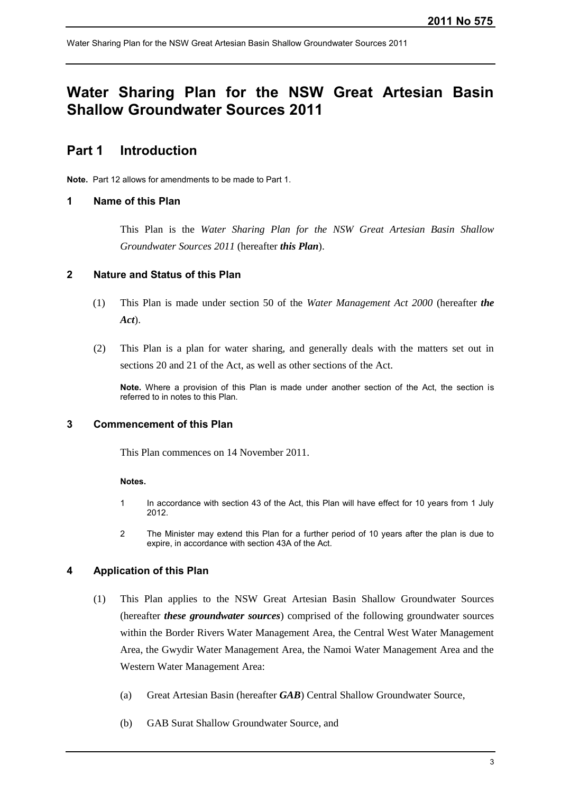# **Water Sharing Plan for the NSW Great Artesian Basin Shallow Groundwater Sources 2011**

# <span id="page-2-0"></span>**Part 1 Introduction**

**Note.** Part 12 allows for amendments to be made to Part 1.

## **1 Name of this Plan**

This Plan is the *Water Sharing Plan for the NSW Great Artesian Basin Shallow Groundwater Sources 2011* (hereafter *this Plan*).

## **2 Nature and Status of this Plan**

- (1) This Plan is made under section 50 of the *Water Management Act 2000* (hereafter *the Act*).
- (2) This Plan is a plan for water sharing, and generally deals with the matters set out in sections 20 and 21 of the Act, as well as other sections of the Act.

**Note.** Where a provision of this Plan is made under another section of the Act, the section is referred to in notes to this Plan.

## **3 Commencement of this Plan**

This Plan commences on 14 November 2011.

#### **Notes.**

- 1 In accordance with section 43 of the Act, this Plan will have effect for 10 years from 1 July 2012.
- 2 The Minister may extend this Plan for a further period of 10 years after the plan is due to expire, in accordance with section 43A of the Act.

## **4 Application of this Plan**

- (1) This Plan applies to the NSW Great Artesian Basin Shallow Groundwater Sources (hereafter *these groundwater sources*) comprised of the following groundwater sources within the Border Rivers Water Management Area, the Central West Water Management Area, the Gwydir Water Management Area, the Namoi Water Management Area and the Western Water Management Area:
	- (a) Great Artesian Basin (hereafter *GAB*) Central Shallow Groundwater Source,
	- (b) GAB Surat Shallow Groundwater Source, and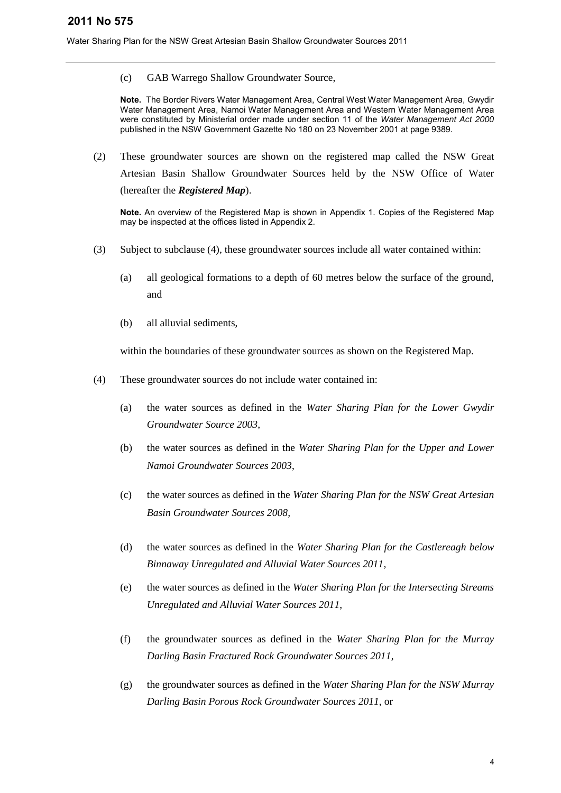(c) GAB Warrego Shallow Groundwater Source,

**Note.** The Border Rivers Water Management Area, Central West Water Management Area, Gwydir Water Management Area, Namoi Water Management Area and Western Water Management Area were constituted by Ministerial order made under section 11 of the *Water Management Act 2000* published in the NSW Government Gazette No 180 on 23 November 2001 at page 9389.

(2) These groundwater sources are shown on the registered map called the NSW Great Artesian Basin Shallow Groundwater Sources held by the NSW Office of Water (hereafter the *Registered Map*).

**Note.** An overview of the Registered Map is shown in Appendix 1. Copies of the Registered Map may be inspected at the offices listed in Appendix 2.

- (3) Subject to subclause (4), these groundwater sources include all water contained within:
	- (a) all geological formations to a depth of 60 metres below the surface of the ground, and
	- (b) all alluvial sediments,

within the boundaries of these groundwater sources as shown on the Registered Map.

- (4) These groundwater sources do not include water contained in:
	- (a) the water sources as defined in the *Water Sharing Plan for the Lower Gwydir Groundwater Source 2003*,
	- (b) the water sources as defined in the *Water Sharing Plan for the Upper and Lower Namoi Groundwater Sources 2003*,
	- (c) the water sources as defined in the *Water Sharing Plan for the NSW Great Artesian Basin Groundwater Sources 2008,*
	- (d) the water sources as defined in the *Water Sharing Plan for the Castlereagh below Binnaway Unregulated and Alluvial Water Sources 2011,*
	- (e) the water sources as defined in the *Water Sharing Plan for the Intersecting Streams Unregulated and Alluvial Water Sources 2011*,
	- (f) the groundwater sources as defined in the *Water Sharing Plan for the Murray Darling Basin Fractured Rock Groundwater Sources 2011*,
	- (g) the groundwater sources as defined in the *Water Sharing Plan for the NSW Murray Darling Basin Porous Rock Groundwater Sources 2011*, or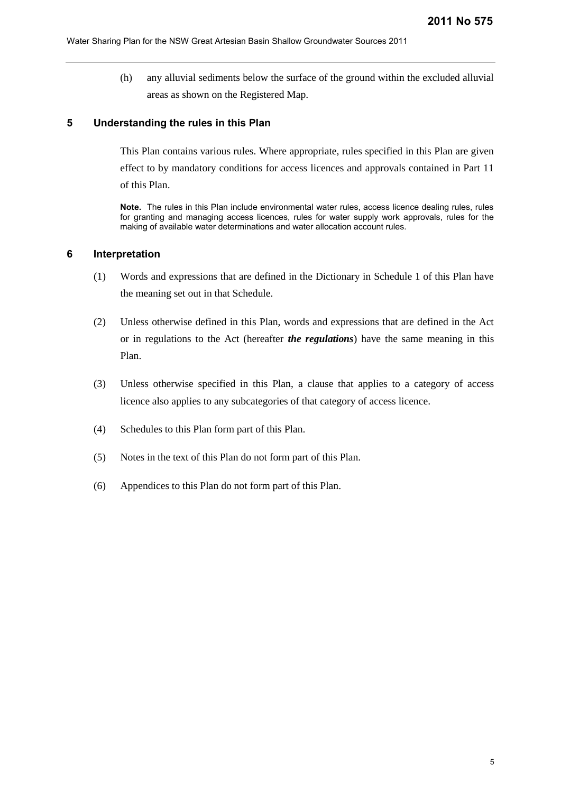(h) any alluvial sediments below the surface of the ground within the excluded alluvial areas as shown on the Registered Map.

## **5 Understanding the rules in this Plan**

This Plan contains various rules. Where appropriate, rules specified in this Plan are given effect to by mandatory conditions for access licences and approvals contained in Part 11 of this Plan.

**Note.** The rules in this Plan include environmental water rules, access licence dealing rules, rules for granting and managing access licences, rules for water supply work approvals, rules for the making of available water determinations and water allocation account rules.

#### **6 Interpretation**

- (1) Words and expressions that are defined in the Dictionary in Schedule 1 of this Plan have the meaning set out in that Schedule.
- (2) Unless otherwise defined in this Plan, words and expressions that are defined in the Act or in regulations to the Act (hereafter *the regulations*) have the same meaning in this Plan.
- (3) Unless otherwise specified in this Plan, a clause that applies to a category of access licence also applies to any subcategories of that category of access licence.
- (4) Schedules to this Plan form part of this Plan.
- (5) Notes in the text of this Plan do not form part of this Plan.
- (6) Appendices to this Plan do not form part of this Plan.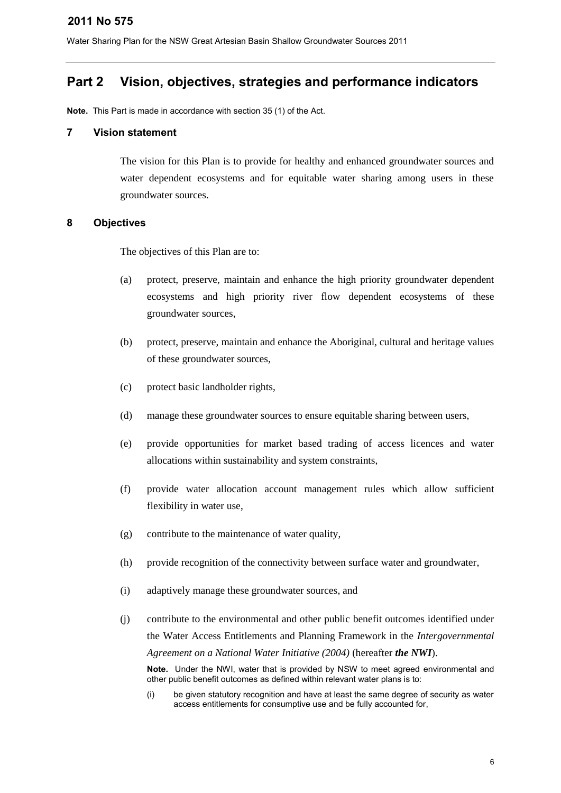# <span id="page-5-0"></span>**Part 2 Vision, objectives, strategies and performance indicators**

**Note.** This Part is made in accordance with section 35 (1) of the Act.

#### **7 Vision statement**

The vision for this Plan is to provide for healthy and enhanced groundwater sources and water dependent ecosystems and for equitable water sharing among users in these groundwater sources.

## **8 Objectives**

The objectives of this Plan are to:

- (a) protect, preserve, maintain and enhance the high priority groundwater dependent ecosystems and high priority river flow dependent ecosystems of these groundwater sources,
- (b) protect, preserve, maintain and enhance the Aboriginal, cultural and heritage values of these groundwater sources,
- (c) protect basic landholder rights,
- (d) manage these groundwater sources to ensure equitable sharing between users,
- (e) provide opportunities for market based trading of access licences and water allocations within sustainability and system constraints,
- (f) provide water allocation account management rules which allow sufficient flexibility in water use,
- (g) contribute to the maintenance of water quality,
- (h) provide recognition of the connectivity between surface water and groundwater,
- (i) adaptively manage these groundwater sources, and
- (j) contribute to the environmental and other public benefit outcomes identified under the Water Access Entitlements and Planning Framework in the *Intergovernmental Agreement on a National Water Initiative (2004)* (hereafter *the NWI*).

**Note.** Under the NWI, water that is provided by NSW to meet agreed environmental and other public benefit outcomes as defined within relevant water plans is to:

(i) be given statutory recognition and have at least the same degree of security as water access entitlements for consumptive use and be fully accounted for,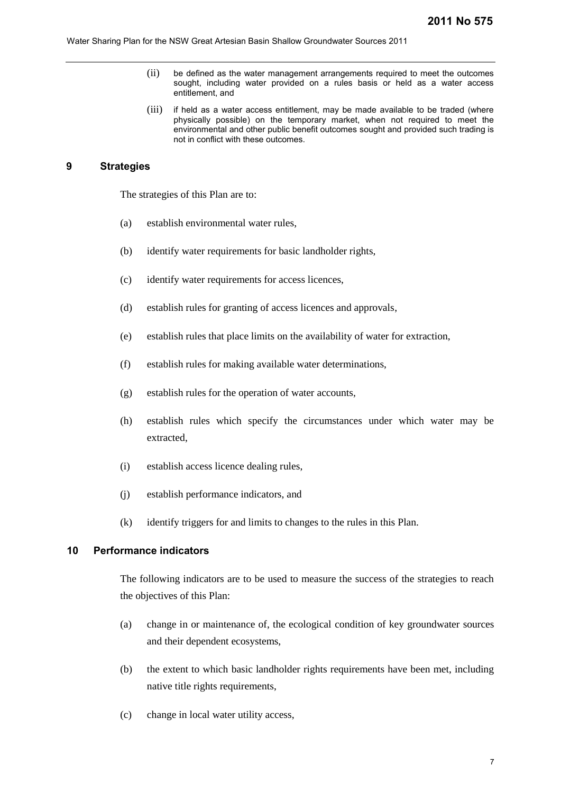- (ii) be defined as the water management arrangements required to meet the outcomes sought, including water provided on a rules basis or held as a water access entitlement, and
- (iii) if held as a water access entitlement, may be made available to be traded (where physically possible) on the temporary market, when not required to meet the environmental and other public benefit outcomes sought and provided such trading is not in conflict with these outcomes.

## **9 Strategies**

The strategies of this Plan are to:

- (a) establish environmental water rules,
- (b) identify water requirements for basic landholder rights,
- (c) identify water requirements for access licences,
- (d) establish rules for granting of access licences and approvals,
- (e) establish rules that place limits on the availability of water for extraction,
- (f) establish rules for making available water determinations,
- (g) establish rules for the operation of water accounts,
- (h) establish rules which specify the circumstances under which water may be extracted,
- (i) establish access licence dealing rules,
- (j) establish performance indicators, and
- (k) identify triggers for and limits to changes to the rules in this Plan.

## **10 Performance indicators**

The following indicators are to be used to measure the success of the strategies to reach the objectives of this Plan:

- (a) change in or maintenance of, the ecological condition of key groundwater sources and their dependent ecosystems,
- (b) the extent to which basic landholder rights requirements have been met, including native title rights requirements,
- (c) change in local water utility access,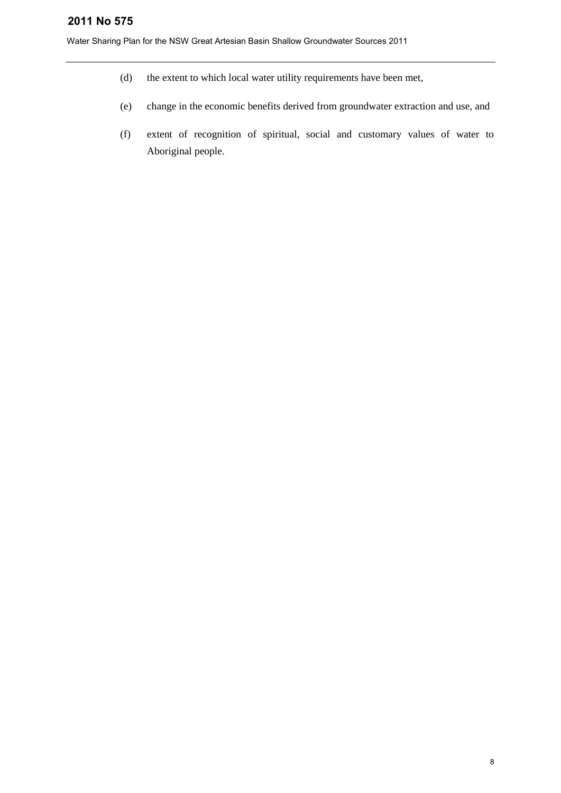- (d) the extent to which local water utility requirements have been met,
- (e) change in the economic benefits derived from groundwater extraction and use, and
- (f) extent of recognition of spiritual, social and customary values of water to Aboriginal people.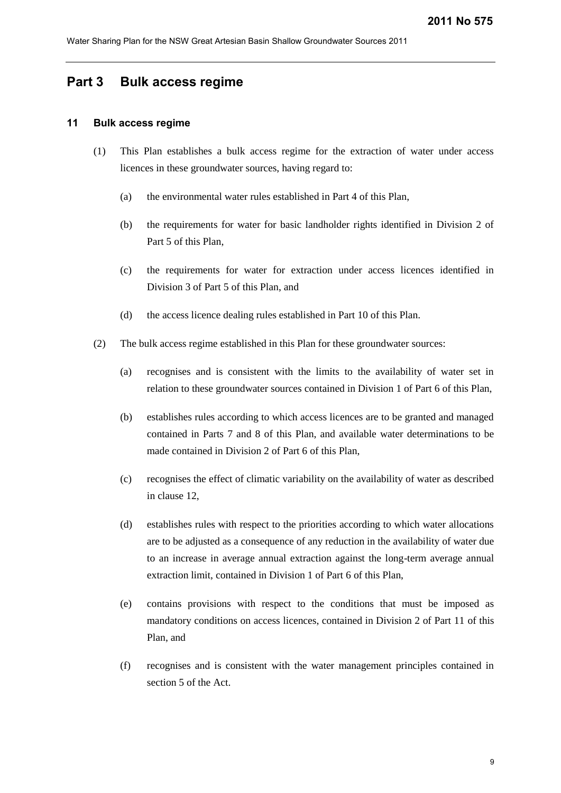## <span id="page-8-0"></span>**Part 3 Bulk access regime**

## **11 Bulk access regime**

- (1) This Plan establishes a bulk access regime for the extraction of water under access licences in these groundwater sources, having regard to:
	- (a) the environmental water rules established in Part 4 of this Plan,
	- (b) the requirements for water for basic landholder rights identified in Division 2 of Part 5 of this Plan,
	- (c) the requirements for water for extraction under access licences identified in Division 3 of Part 5 of this Plan, and
	- (d) the access licence dealing rules established in Part 10 of this Plan.
- (2) The bulk access regime established in this Plan for these groundwater sources:
	- (a) recognises and is consistent with the limits to the availability of water set in relation to these groundwater sources contained in Division 1 of Part 6 of this Plan,
	- (b) establishes rules according to which access licences are to be granted and managed contained in Parts 7 and 8 of this Plan, and available water determinations to be made contained in Division 2 of Part 6 of this Plan,
	- (c) recognises the effect of climatic variability on the availability of water as described in clause 12,
	- (d) establishes rules with respect to the priorities according to which water allocations are to be adjusted as a consequence of any reduction in the availability of water due to an increase in average annual extraction against the long-term average annual extraction limit, contained in Division 1 of Part 6 of this Plan,
	- (e) contains provisions with respect to the conditions that must be imposed as mandatory conditions on access licences, contained in Division 2 of Part 11 of this Plan, and
	- (f) recognises and is consistent with the water management principles contained in section 5 of the Act.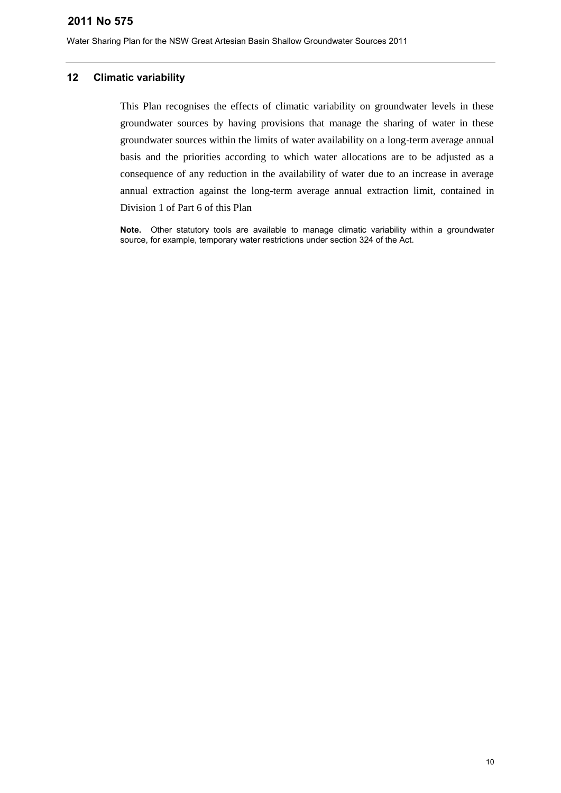Water Sharing Plan for the NSW Great Artesian Basin Shallow Groundwater Sources 2011

#### **12 Climatic variability**

This Plan recognises the effects of climatic variability on groundwater levels in these groundwater sources by having provisions that manage the sharing of water in these groundwater sources within the limits of water availability on a long-term average annual basis and the priorities according to which water allocations are to be adjusted as a consequence of any reduction in the availability of water due to an increase in average annual extraction against the long-term average annual extraction limit, contained in Division 1 of Part 6 of this Plan

**Note.** Other statutory tools are available to manage climatic variability within a groundwater source, for example, temporary water restrictions under section 324 of the Act.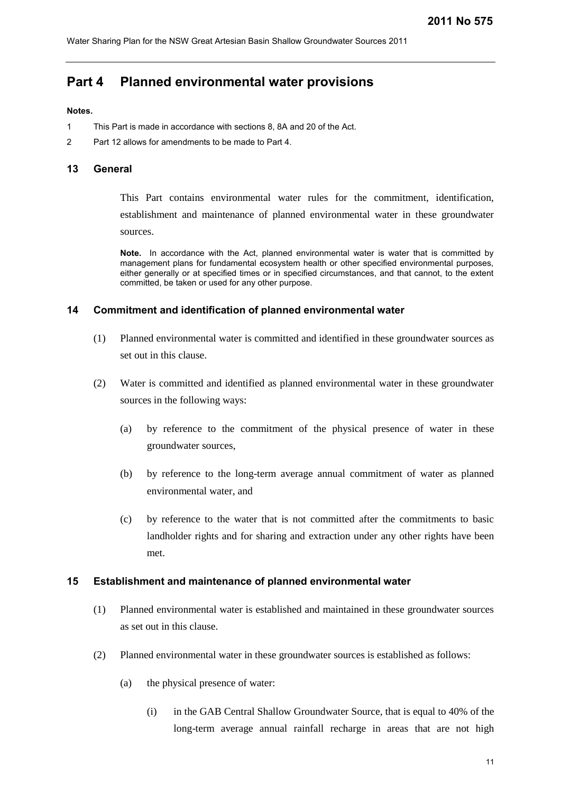## <span id="page-10-0"></span>**Part 4 Planned environmental water provisions**

#### **Notes.**

- 1 This Part is made in accordance with sections 8, 8A and 20 of the Act.
- 2 Part 12 allows for amendments to be made to Part 4.

#### **13 General**

This Part contains environmental water rules for the commitment, identification, establishment and maintenance of planned environmental water in these groundwater sources.

**Note.** In accordance with the Act, planned environmental water is water that is committed by management plans for fundamental ecosystem health or other specified environmental purposes, either generally or at specified times or in specified circumstances, and that cannot, to the extent committed, be taken or used for any other purpose.

#### **14 Commitment and identification of planned environmental water**

- (1) Planned environmental water is committed and identified in these groundwater sources as set out in this clause.
- (2) Water is committed and identified as planned environmental water in these groundwater sources in the following ways:
	- (a) by reference to the commitment of the physical presence of water in these groundwater sources,
	- (b) by reference to the long-term average annual commitment of water as planned environmental water, and
	- (c) by reference to the water that is not committed after the commitments to basic landholder rights and for sharing and extraction under any other rights have been met.

#### **15 Establishment and maintenance of planned environmental water**

- (1) Planned environmental water is established and maintained in these groundwater sources as set out in this clause.
- (2) Planned environmental water in these groundwater sources is established as follows:
	- (a) the physical presence of water:
		- (i) in the GAB Central Shallow Groundwater Source, that is equal to 40% of the long-term average annual rainfall recharge in areas that are not high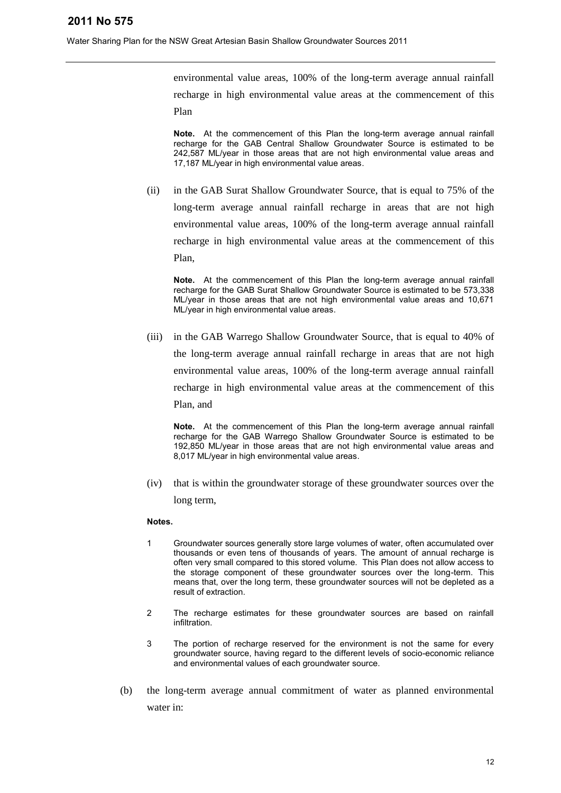environmental value areas, 100% of the long-term average annual rainfall recharge in high environmental value areas at the commencement of this Plan

**Note.** At the commencement of this Plan the long-term average annual rainfall recharge for the GAB Central Shallow Groundwater Source is estimated to be 242,587 ML/year in those areas that are not high environmental value areas and 17,187 ML/year in high environmental value areas.

(ii) in the GAB Surat Shallow Groundwater Source, that is equal to 75% of the long-term average annual rainfall recharge in areas that are not high environmental value areas, 100% of the long-term average annual rainfall recharge in high environmental value areas at the commencement of this Plan,

**Note.** At the commencement of this Plan the long-term average annual rainfall recharge for the GAB Surat Shallow Groundwater Source is estimated to be 573,338 ML/year in those areas that are not high environmental value areas and 10,671 ML/year in high environmental value areas.

(iii) in the GAB Warrego Shallow Groundwater Source, that is equal to 40% of the long-term average annual rainfall recharge in areas that are not high environmental value areas, 100% of the long-term average annual rainfall recharge in high environmental value areas at the commencement of this Plan, and

**Note.** At the commencement of this Plan the long-term average annual rainfall recharge for the GAB Warrego Shallow Groundwater Source is estimated to be 192,850 ML/year in those areas that are not high environmental value areas and 8,017 ML/year in high environmental value areas.

(iv) that is within the groundwater storage of these groundwater sources over the long term,

#### **Notes.**

- 1 Groundwater sources generally store large volumes of water, often accumulated over thousands or even tens of thousands of years. The amount of annual recharge is often very small compared to this stored volume. This Plan does not allow access to the storage component of these groundwater sources over the long-term. This means that, over the long term, these groundwater sources will not be depleted as a result of extraction.
- 2 The recharge estimates for these groundwater sources are based on rainfall infiltration.
- 3 The portion of recharge reserved for the environment is not the same for every groundwater source, having regard to the different levels of socio-economic reliance and environmental values of each groundwater source.
- (b) the long-term average annual commitment of water as planned environmental water in: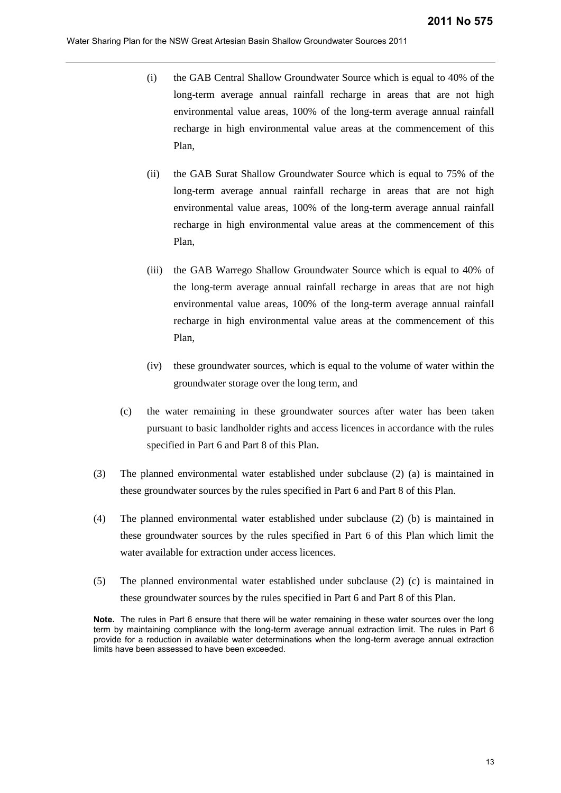- (i) the GAB Central Shallow Groundwater Source which is equal to 40% of the long-term average annual rainfall recharge in areas that are not high environmental value areas, 100% of the long-term average annual rainfall recharge in high environmental value areas at the commencement of this Plan,
- (ii) the GAB Surat Shallow Groundwater Source which is equal to 75% of the long-term average annual rainfall recharge in areas that are not high environmental value areas, 100% of the long-term average annual rainfall recharge in high environmental value areas at the commencement of this Plan,
- (iii) the GAB Warrego Shallow Groundwater Source which is equal to 40% of the long-term average annual rainfall recharge in areas that are not high environmental value areas, 100% of the long-term average annual rainfall recharge in high environmental value areas at the commencement of this Plan,
- (iv) these groundwater sources, which is equal to the volume of water within the groundwater storage over the long term, and
- (c) the water remaining in these groundwater sources after water has been taken pursuant to basic landholder rights and access licences in accordance with the rules specified in Part 6 and Part 8 of this Plan.
- (3) The planned environmental water established under subclause (2) (a) is maintained in these groundwater sources by the rules specified in Part 6 and Part 8 of this Plan.
- (4) The planned environmental water established under subclause (2) (b) is maintained in these groundwater sources by the rules specified in Part 6 of this Plan which limit the water available for extraction under access licences.
- (5) The planned environmental water established under subclause (2) (c) is maintained in these groundwater sources by the rules specified in Part 6 and Part 8 of this Plan.

**Note.** The rules in Part 6 ensure that there will be water remaining in these water sources over the long term by maintaining compliance with the long-term average annual extraction limit. The rules in Part 6 provide for a reduction in available water determinations when the long-term average annual extraction limits have been assessed to have been exceeded.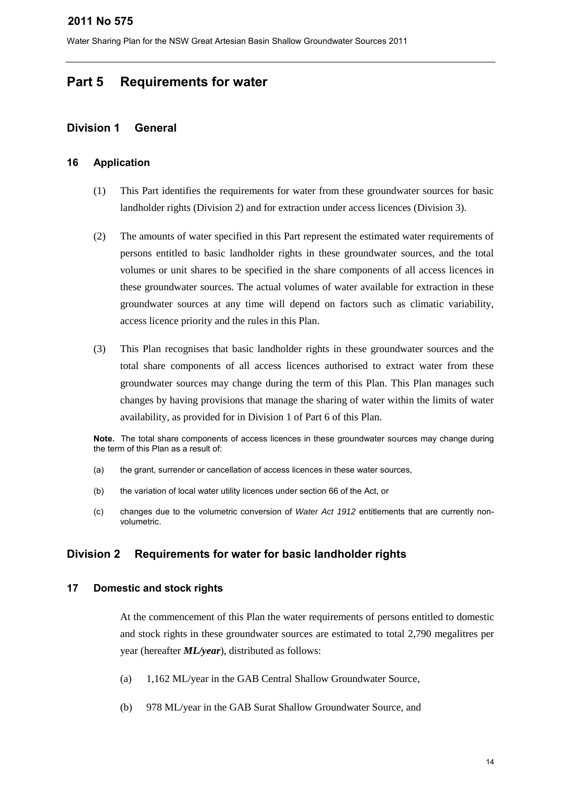Water Sharing Plan for the NSW Great Artesian Basin Shallow Groundwater Sources 2011

# <span id="page-13-0"></span>**Part 5 Requirements for water**

## <span id="page-13-1"></span>**Division 1 General**

## **16 Application**

- (1) This Part identifies the requirements for water from these groundwater sources for basic landholder rights (Division 2) and for extraction under access licences (Division 3).
- (2) The amounts of water specified in this Part represent the estimated water requirements of persons entitled to basic landholder rights in these groundwater sources, and the total volumes or unit shares to be specified in the share components of all access licences in these groundwater sources. The actual volumes of water available for extraction in these groundwater sources at any time will depend on factors such as climatic variability, access licence priority and the rules in this Plan.
- (3) This Plan recognises that basic landholder rights in these groundwater sources and the total share components of all access licences authorised to extract water from these groundwater sources may change during the term of this Plan. This Plan manages such changes by having provisions that manage the sharing of water within the limits of water availability, as provided for in Division 1 of Part 6 of this Plan.

**Note.** The total share components of access licences in these groundwater sources may change during the term of this Plan as a result of:

- (a) the grant, surrender or cancellation of access licences in these water sources,
- (b) the variation of local water utility licences under section 66 of the Act, or
- (c) changes due to the volumetric conversion of *Water Act 1912* entitlements that are currently nonvolumetric.

## <span id="page-13-2"></span>**Division 2 Requirements for water for basic landholder rights**

## **17 Domestic and stock rights**

At the commencement of this Plan the water requirements of persons entitled to domestic and stock rights in these groundwater sources are estimated to total 2,790 megalitres per year (hereafter *ML/year*), distributed as follows:

- (a) 1,162 ML/year in the GAB Central Shallow Groundwater Source,
- (b) 978 ML/year in the GAB Surat Shallow Groundwater Source, and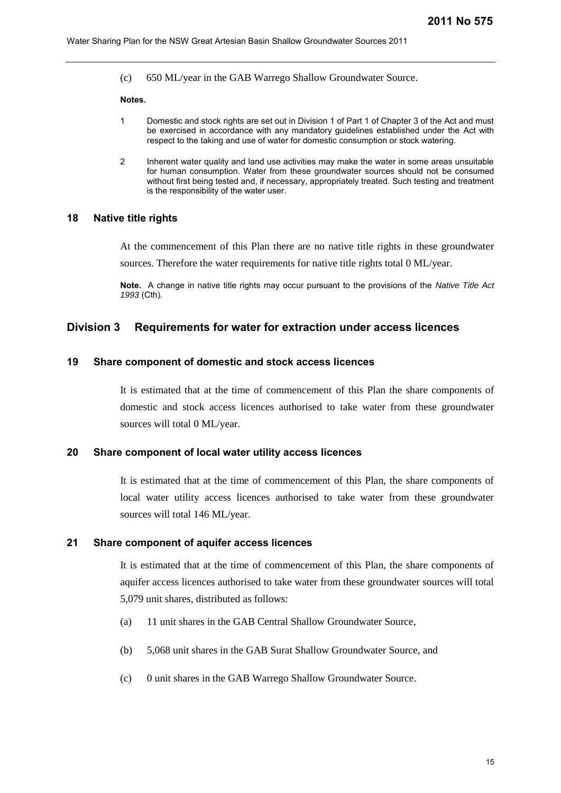(c) 650 ML/year in the GAB Warrego Shallow Groundwater Source.

#### **Notes.**

- 1 Domestic and stock rights are set out in Division 1 of Part 1 of Chapter 3 of the Act and must be exercised in accordance with any mandatory guidelines established under the Act with respect to the taking and use of water for domestic consumption or stock watering.
- 2 Inherent water quality and land use activities may make the water in some areas unsuitable for human consumption. Water from these groundwater sources should not be consumed without first being tested and, if necessary, appropriately treated. Such testing and treatment is the responsibility of the water user.

#### **18 Native title rights**

At the commencement of this Plan there are no native title rights in these groundwater

sources. Therefore the water requirements for native title rights total 0 ML/year.

**Note.** A change in native title rights may occur pursuant to the provisions of the *Native Title Act 1993* (Cth)*.*

## <span id="page-14-0"></span>**Division 3 Requirements for water for extraction under access licences**

## **19 Share component of domestic and stock access licences**

It is estimated that at the time of commencement of this Plan the share components of domestic and stock access licences authorised to take water from these groundwater sources will total 0 ML/year.

#### **20 Share component of local water utility access licences**

It is estimated that at the time of commencement of this Plan, the share components of local water utility access licences authorised to take water from these groundwater sources will total 146 ML/year.

#### **21 Share component of aquifer access licences**

It is estimated that at the time of commencement of this Plan, the share components of aquifer access licences authorised to take water from these groundwater sources will total 5,079 unit shares, distributed as follows:

- (a) 11 unit shares in the GAB Central Shallow Groundwater Source,
- (b) 5,068 unit shares in the GAB Surat Shallow Groundwater Source, and
- (c) 0 unit shares in the GAB Warrego Shallow Groundwater Source.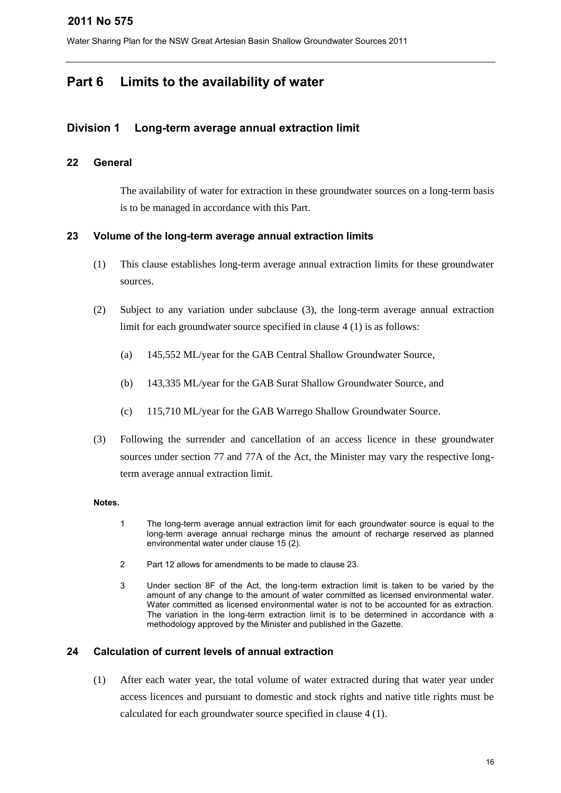Water Sharing Plan for the NSW Great Artesian Basin Shallow Groundwater Sources 2011

# <span id="page-15-0"></span>**Part 6 Limits to the availability of water**

## <span id="page-15-1"></span>**Division 1 Long-term average annual extraction limit**

## **22 General**

The availability of water for extraction in these groundwater sources on a long-term basis is to be managed in accordance with this Part.

## **23 Volume of the long-term average annual extraction limits**

- (1) This clause establishes long-term average annual extraction limits for these groundwater sources.
- (2) Subject to any variation under subclause (3), the long-term average annual extraction limit for each groundwater source specified in clause 4 (1) is as follows:
	- (a) 145,552 ML/year for the GAB Central Shallow Groundwater Source,
	- (b) 143,335 ML/year for the GAB Surat Shallow Groundwater Source, and
	- (c) 115,710 ML/year for the GAB Warrego Shallow Groundwater Source.
- (3) Following the surrender and cancellation of an access licence in these groundwater sources under section 77 and 77A of the Act, the Minister may vary the respective longterm average annual extraction limit.

## **Notes.**

- 1 The long-term average annual extraction limit for each groundwater source is equal to the long-term average annual recharge minus the amount of recharge reserved as planned environmental water under clause 15 (2).
- 2 Part 12 allows for amendments to be made to clause 23.
- 3 Under section 8F of the Act, the long-term extraction limit is taken to be varied by the amount of any change to the amount of water committed as licensed environmental water. Water committed as licensed environmental water is not to be accounted for as extraction. The variation in the long-term extraction limit is to be determined in accordance with a methodology approved by the Minister and published in the Gazette.

## **24 Calculation of current levels of annual extraction**

(1) After each water year, the total volume of water extracted during that water year under access licences and pursuant to domestic and stock rights and native title rights must be calculated for each groundwater source specified in clause 4 (1).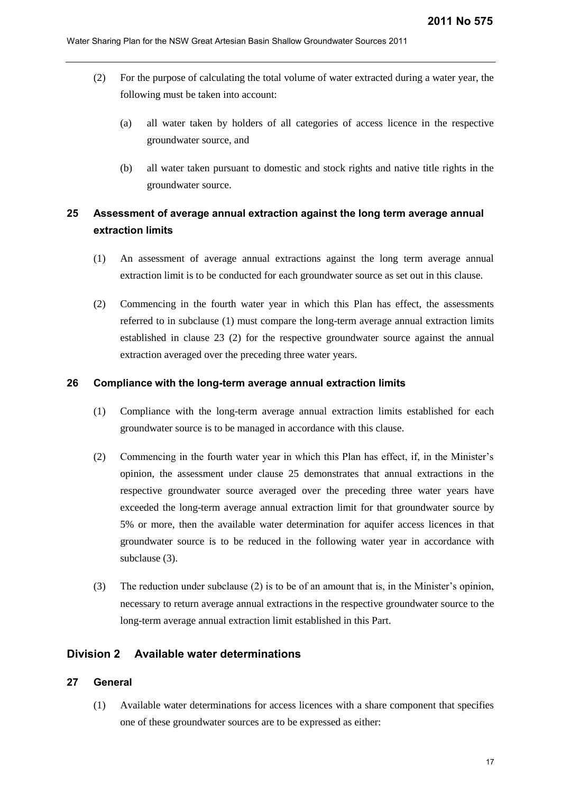- (2) For the purpose of calculating the total volume of water extracted during a water year, the following must be taken into account:
	- (a) all water taken by holders of all categories of access licence in the respective groundwater source, and
	- (b) all water taken pursuant to domestic and stock rights and native title rights in the groundwater source.

# **25 Assessment of average annual extraction against the long term average annual extraction limits**

- (1) An assessment of average annual extractions against the long term average annual extraction limit is to be conducted for each groundwater source as set out in this clause.
- (2) Commencing in the fourth water year in which this Plan has effect, the assessments referred to in subclause (1) must compare the long-term average annual extraction limits established in clause 23 (2) for the respective groundwater source against the annual extraction averaged over the preceding three water years.

#### **26 Compliance with the long-term average annual extraction limits**

- (1) Compliance with the long-term average annual extraction limits established for each groundwater source is to be managed in accordance with this clause.
- (2) Commencing in the fourth water year in which this Plan has effect, if, in the Minister's opinion, the assessment under clause 25 demonstrates that annual extractions in the respective groundwater source averaged over the preceding three water years have exceeded the long-term average annual extraction limit for that groundwater source by 5% or more, then the available water determination for aquifer access licences in that groundwater source is to be reduced in the following water year in accordance with subclause (3).
- (3) The reduction under subclause (2) is to be of an amount that is, in the Minister's opinion, necessary to return average annual extractions in the respective groundwater source to the long-term average annual extraction limit established in this Part.

## <span id="page-16-0"></span>**Division 2 Available water determinations**

#### **27 General**

(1) Available water determinations for access licences with a share component that specifies one of these groundwater sources are to be expressed as either: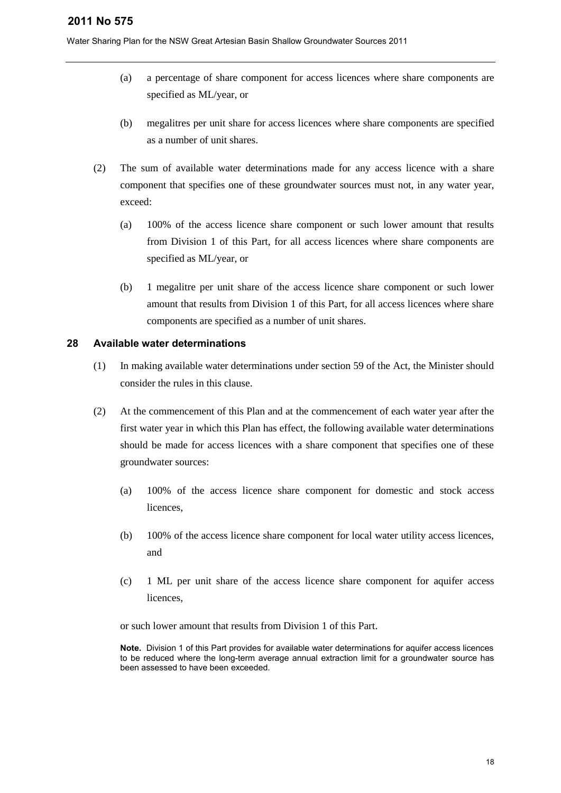Water Sharing Plan for the NSW Great Artesian Basin Shallow Groundwater Sources 2011

- (a) a percentage of share component for access licences where share components are specified as ML/year, or
- (b) megalitres per unit share for access licences where share components are specified as a number of unit shares.
- (2) The sum of available water determinations made for any access licence with a share component that specifies one of these groundwater sources must not, in any water year, exceed:
	- (a) 100% of the access licence share component or such lower amount that results from Division 1 of this Part, for all access licences where share components are specified as ML/year, or
	- (b) 1 megalitre per unit share of the access licence share component or such lower amount that results from Division 1 of this Part, for all access licences where share components are specified as a number of unit shares.

## **28 Available water determinations**

- (1) In making available water determinations under section 59 of the Act, the Minister should consider the rules in this clause.
- (2) At the commencement of this Plan and at the commencement of each water year after the first water year in which this Plan has effect, the following available water determinations should be made for access licences with a share component that specifies one of these groundwater sources:
	- (a) 100% of the access licence share component for domestic and stock access licences,
	- (b) 100% of the access licence share component for local water utility access licences, and
	- (c) 1 ML per unit share of the access licence share component for aquifer access licences,

or such lower amount that results from Division 1 of this Part.

**Note.** Division 1 of this Part provides for available water determinations for aquifer access licences to be reduced where the long-term average annual extraction limit for a groundwater source has been assessed to have been exceeded.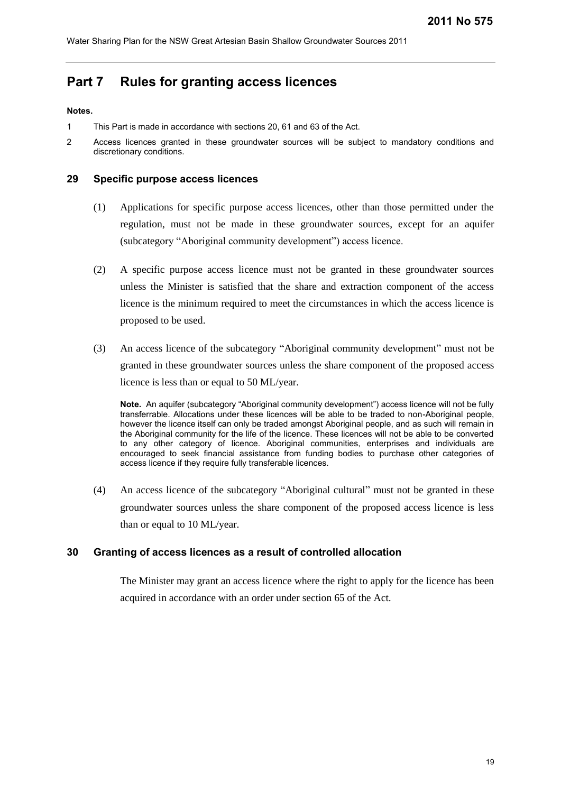# <span id="page-18-0"></span>**Part 7 Rules for granting access licences**

#### **Notes.**

- 1 This Part is made in accordance with sections 20, 61 and 63 of the Act.
- 2 Access licences granted in these groundwater sources will be subject to mandatory conditions and discretionary conditions.

#### **29 Specific purpose access licences**

- (1) Applications for specific purpose access licences, other than those permitted under the regulation, must not be made in these groundwater sources, except for an aquifer (subcategory "Aboriginal community development") access licence.
- (2) A specific purpose access licence must not be granted in these groundwater sources unless the Minister is satisfied that the share and extraction component of the access licence is the minimum required to meet the circumstances in which the access licence is proposed to be used.
- (3) An access licence of the subcategory "Aboriginal community development" must not be granted in these groundwater sources unless the share component of the proposed access licence is less than or equal to 50 ML/year.

**Note.** An aquifer (subcategory "Aboriginal community development") access licence will not be fully transferrable. Allocations under these licences will be able to be traded to non-Aboriginal people, however the licence itself can only be traded amongst Aboriginal people, and as such will remain in the Aboriginal community for the life of the licence. These licences will not be able to be converted to any other category of licence. Aboriginal communities, enterprises and individuals are encouraged to seek financial assistance from funding bodies to purchase other categories of access licence if they require fully transferable licences.

(4) An access licence of the subcategory "Aboriginal cultural" must not be granted in these groundwater sources unless the share component of the proposed access licence is less than or equal to 10 ML/year.

## **30 Granting of access licences as a result of controlled allocation**

The Minister may grant an access licence where the right to apply for the licence has been acquired in accordance with an order under section 65 of the Act.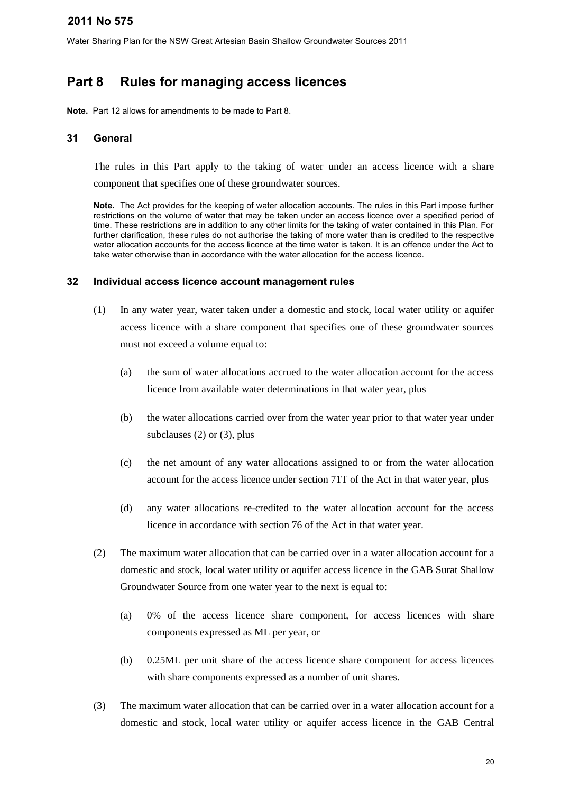# <span id="page-19-0"></span>**Part 8 Rules for managing access licences**

**Note.** Part 12 allows for amendments to be made to Part 8.

## **31 General**

The rules in this Part apply to the taking of water under an access licence with a share component that specifies one of these groundwater sources.

**Note.** The Act provides for the keeping of water allocation accounts. The rules in this Part impose further restrictions on the volume of water that may be taken under an access licence over a specified period of time. These restrictions are in addition to any other limits for the taking of water contained in this Plan. For further clarification, these rules do not authorise the taking of more water than is credited to the respective water allocation accounts for the access licence at the time water is taken. It is an offence under the Act to take water otherwise than in accordance with the water allocation for the access licence.

## **32 Individual access licence account management rules**

- (1) In any water year, water taken under a domestic and stock, local water utility or aquifer access licence with a share component that specifies one of these groundwater sources must not exceed a volume equal to:
	- (a) the sum of water allocations accrued to the water allocation account for the access licence from available water determinations in that water year, plus
	- (b) the water allocations carried over from the water year prior to that water year under subclauses (2) or (3), plus
	- (c) the net amount of any water allocations assigned to or from the water allocation account for the access licence under section 71T of the Act in that water year, plus
	- (d) any water allocations re-credited to the water allocation account for the access licence in accordance with section 76 of the Act in that water year.
- (2) The maximum water allocation that can be carried over in a water allocation account for a domestic and stock, local water utility or aquifer access licence in the GAB Surat Shallow Groundwater Source from one water year to the next is equal to:
	- (a) 0% of the access licence share component, for access licences with share components expressed as ML per year, or
	- (b) 0.25ML per unit share of the access licence share component for access licences with share components expressed as a number of unit shares.
- (3) The maximum water allocation that can be carried over in a water allocation account for a domestic and stock, local water utility or aquifer access licence in the GAB Central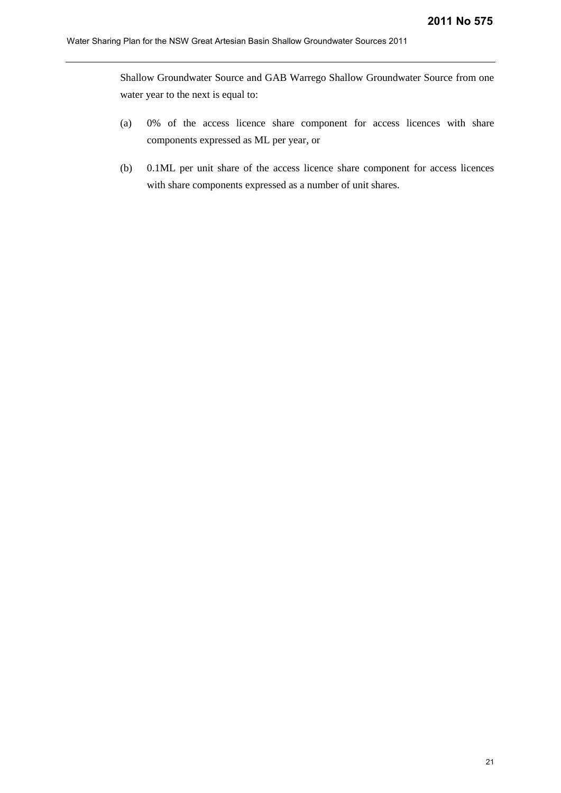Shallow Groundwater Source and GAB Warrego Shallow Groundwater Source from one water year to the next is equal to:

- (a) 0% of the access licence share component for access licences with share components expressed as ML per year, or
- (b) 0.1ML per unit share of the access licence share component for access licences with share components expressed as a number of unit shares.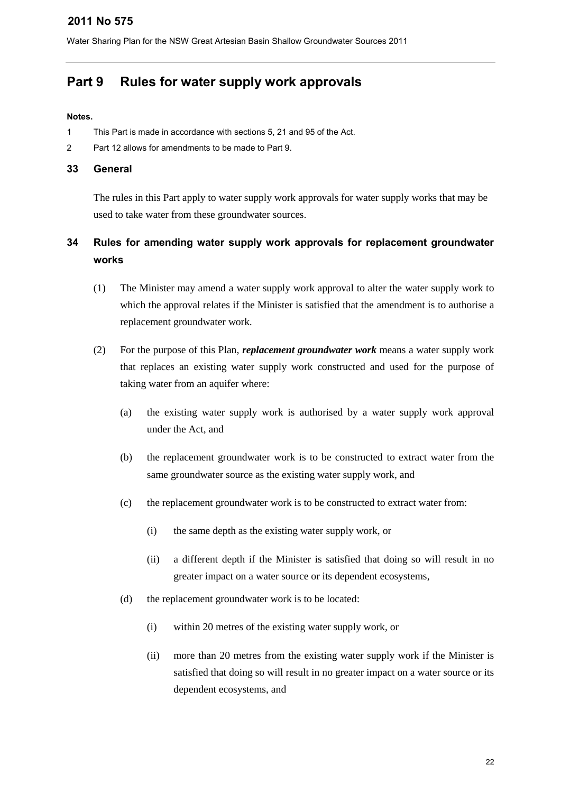Water Sharing Plan for the NSW Great Artesian Basin Shallow Groundwater Sources 2011

# <span id="page-21-0"></span>**Part 9 Rules for water supply work approvals**

#### **Notes.**

- 1 This Part is made in accordance with sections 5, 21 and 95 of the Act.
- 2 Part 12 allows for amendments to be made to Part 9.

#### **33 General**

The rules in this Part apply to water supply work approvals for water supply works that may be used to take water from these groundwater sources.

# **34 Rules for amending water supply work approvals for replacement groundwater works**

- (1) The Minister may amend a water supply work approval to alter the water supply work to which the approval relates if the Minister is satisfied that the amendment is to authorise a replacement groundwater work.
- (2) For the purpose of this Plan, *replacement groundwater work* means a water supply work that replaces an existing water supply work constructed and used for the purpose of taking water from an aquifer where:
	- (a) the existing water supply work is authorised by a water supply work approval under the Act, and
	- (b) the replacement groundwater work is to be constructed to extract water from the same groundwater source as the existing water supply work, and
	- (c) the replacement groundwater work is to be constructed to extract water from:
		- (i) the same depth as the existing water supply work, or
		- (ii) a different depth if the Minister is satisfied that doing so will result in no greater impact on a water source or its dependent ecosystems,
	- (d) the replacement groundwater work is to be located:
		- (i) within 20 metres of the existing water supply work, or
		- (ii) more than 20 metres from the existing water supply work if the Minister is satisfied that doing so will result in no greater impact on a water source or its dependent ecosystems, and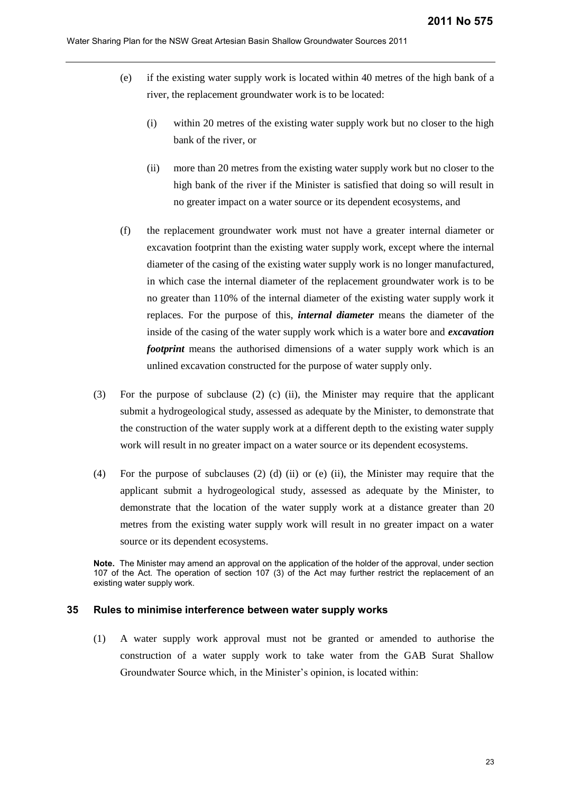- (e) if the existing water supply work is located within 40 metres of the high bank of a river, the replacement groundwater work is to be located:
	- (i) within 20 metres of the existing water supply work but no closer to the high bank of the river, or
	- (ii) more than 20 metres from the existing water supply work but no closer to the high bank of the river if the Minister is satisfied that doing so will result in no greater impact on a water source or its dependent ecosystems, and
- (f) the replacement groundwater work must not have a greater internal diameter or excavation footprint than the existing water supply work, except where the internal diameter of the casing of the existing water supply work is no longer manufactured, in which case the internal diameter of the replacement groundwater work is to be no greater than 110% of the internal diameter of the existing water supply work it replaces. For the purpose of this, *internal diameter* means the diameter of the inside of the casing of the water supply work which is a water bore and *excavation footprint* means the authorised dimensions of a water supply work which is an unlined excavation constructed for the purpose of water supply only.
- (3) For the purpose of subclause (2) (c) (ii), the Minister may require that the applicant submit a hydrogeological study, assessed as adequate by the Minister, to demonstrate that the construction of the water supply work at a different depth to the existing water supply work will result in no greater impact on a water source or its dependent ecosystems.
- (4) For the purpose of subclauses (2) (d) (ii) or (e) (ii), the Minister may require that the applicant submit a hydrogeological study, assessed as adequate by the Minister, to demonstrate that the location of the water supply work at a distance greater than 20 metres from the existing water supply work will result in no greater impact on a water source or its dependent ecosystems.

**Note.** The Minister may amend an approval on the application of the holder of the approval, under section 107 of the Act. The operation of section 107 (3) of the Act may further restrict the replacement of an existing water supply work.

#### **35 Rules to minimise interference between water supply works**

(1) A water supply work approval must not be granted or amended to authorise the construction of a water supply work to take water from the GAB Surat Shallow Groundwater Source which, in the Minister's opinion, is located within: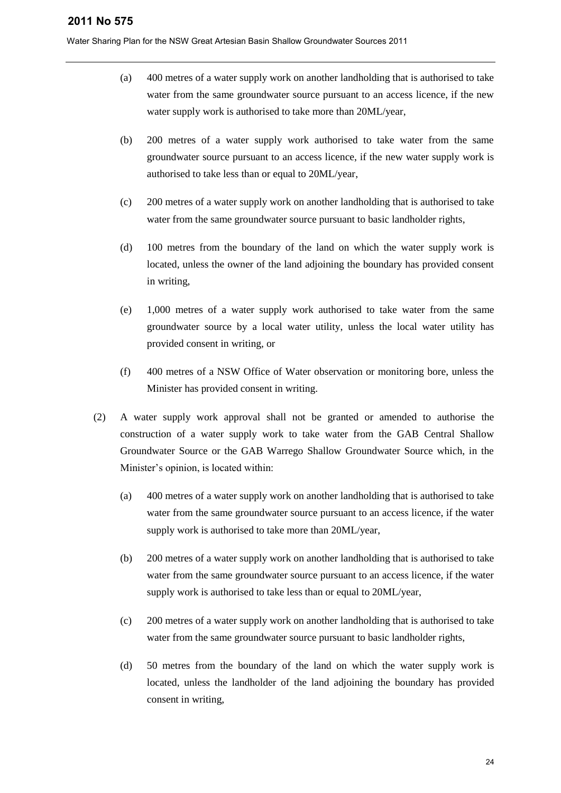- (a) 400 metres of a water supply work on another landholding that is authorised to take water from the same groundwater source pursuant to an access licence, if the new water supply work is authorised to take more than 20ML/year,
- (b) 200 metres of a water supply work authorised to take water from the same groundwater source pursuant to an access licence, if the new water supply work is authorised to take less than or equal to 20ML/year,
- (c) 200 metres of a water supply work on another landholding that is authorised to take water from the same groundwater source pursuant to basic landholder rights,
- (d) 100 metres from the boundary of the land on which the water supply work is located, unless the owner of the land adjoining the boundary has provided consent in writing,
- (e) 1,000 metres of a water supply work authorised to take water from the same groundwater source by a local water utility, unless the local water utility has provided consent in writing, or
- (f) 400 metres of a NSW Office of Water observation or monitoring bore, unless the Minister has provided consent in writing.
- (2) A water supply work approval shall not be granted or amended to authorise the construction of a water supply work to take water from the GAB Central Shallow Groundwater Source or the GAB Warrego Shallow Groundwater Source which, in the Minister's opinion, is located within:
	- (a) 400 metres of a water supply work on another landholding that is authorised to take water from the same groundwater source pursuant to an access licence, if the water supply work is authorised to take more than 20ML/year,
	- (b) 200 metres of a water supply work on another landholding that is authorised to take water from the same groundwater source pursuant to an access licence, if the water supply work is authorised to take less than or equal to 20ML/year,
	- (c) 200 metres of a water supply work on another landholding that is authorised to take water from the same groundwater source pursuant to basic landholder rights,
	- (d) 50 metres from the boundary of the land on which the water supply work is located, unless the landholder of the land adjoining the boundary has provided consent in writing,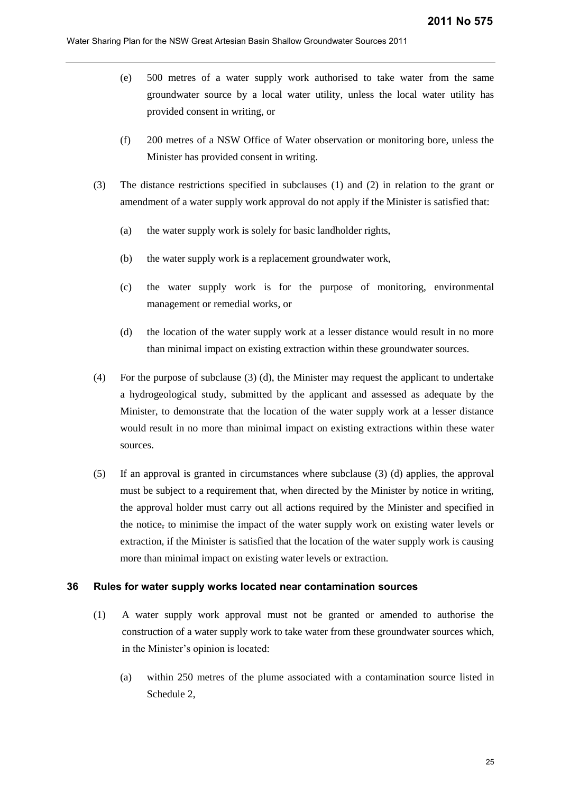- (e) 500 metres of a water supply work authorised to take water from the same groundwater source by a local water utility, unless the local water utility has provided consent in writing, or
- (f) 200 metres of a NSW Office of Water observation or monitoring bore, unless the Minister has provided consent in writing.
- (3) The distance restrictions specified in subclauses (1) and (2) in relation to the grant or amendment of a water supply work approval do not apply if the Minister is satisfied that:
	- (a) the water supply work is solely for basic landholder rights,
	- (b) the water supply work is a replacement groundwater work,
	- (c) the water supply work is for the purpose of monitoring, environmental management or remedial works, or
	- (d) the location of the water supply work at a lesser distance would result in no more than minimal impact on existing extraction within these groundwater sources.
- (4) For the purpose of subclause (3) (d), the Minister may request the applicant to undertake a hydrogeological study, submitted by the applicant and assessed as adequate by the Minister, to demonstrate that the location of the water supply work at a lesser distance would result in no more than minimal impact on existing extractions within these water sources.
- (5) If an approval is granted in circumstances where subclause (3) (d) applies, the approval must be subject to a requirement that, when directed by the Minister by notice in writing, the approval holder must carry out all actions required by the Minister and specified in the notice, to minimise the impact of the water supply work on existing water levels or extraction, if the Minister is satisfied that the location of the water supply work is causing more than minimal impact on existing water levels or extraction.

## **36 Rules for water supply works located near contamination sources**

- (1) A water supply work approval must not be granted or amended to authorise the construction of a water supply work to take water from these groundwater sources which, in the Minister's opinion is located:
	- (a) within 250 metres of the plume associated with a contamination source listed in Schedule 2,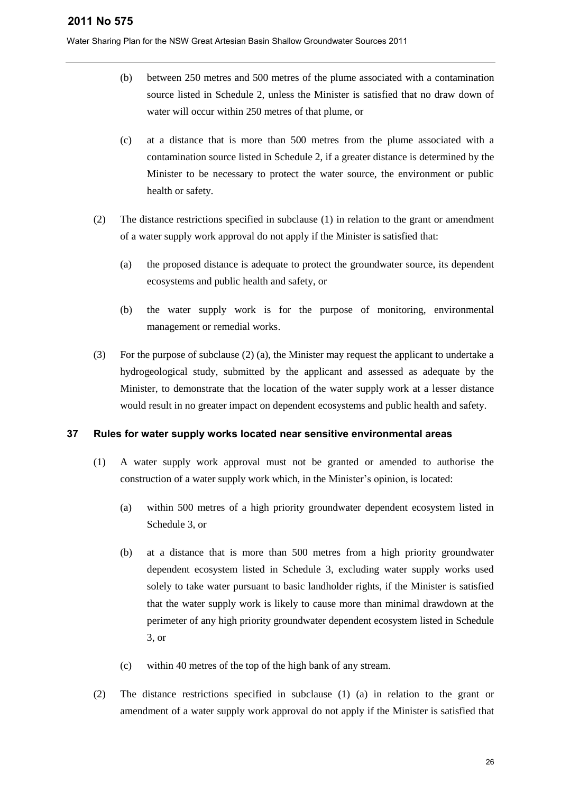Water Sharing Plan for the NSW Great Artesian Basin Shallow Groundwater Sources 2011

- (b) between 250 metres and 500 metres of the plume associated with a contamination source listed in Schedule 2, unless the Minister is satisfied that no draw down of water will occur within 250 metres of that plume, or
- (c) at a distance that is more than 500 metres from the plume associated with a contamination source listed in Schedule 2, if a greater distance is determined by the Minister to be necessary to protect the water source, the environment or public health or safety.
- (2) The distance restrictions specified in subclause (1) in relation to the grant or amendment of a water supply work approval do not apply if the Minister is satisfied that:
	- (a) the proposed distance is adequate to protect the groundwater source, its dependent ecosystems and public health and safety, or
	- (b) the water supply work is for the purpose of monitoring, environmental management or remedial works.
- (3) For the purpose of subclause (2) (a), the Minister may request the applicant to undertake a hydrogeological study, submitted by the applicant and assessed as adequate by the Minister, to demonstrate that the location of the water supply work at a lesser distance would result in no greater impact on dependent ecosystems and public health and safety.

## **37 Rules for water supply works located near sensitive environmental areas**

- (1) A water supply work approval must not be granted or amended to authorise the construction of a water supply work which, in the Minister's opinion, is located:
	- (a) within 500 metres of a high priority groundwater dependent ecosystem listed in Schedule 3, or
	- (b) at a distance that is more than 500 metres from a high priority groundwater dependent ecosystem listed in Schedule 3, excluding water supply works used solely to take water pursuant to basic landholder rights, if the Minister is satisfied that the water supply work is likely to cause more than minimal drawdown at the perimeter of any high priority groundwater dependent ecosystem listed in Schedule 3, or
	- (c) within 40 metres of the top of the high bank of any stream.
- (2) The distance restrictions specified in subclause (1) (a) in relation to the grant or amendment of a water supply work approval do not apply if the Minister is satisfied that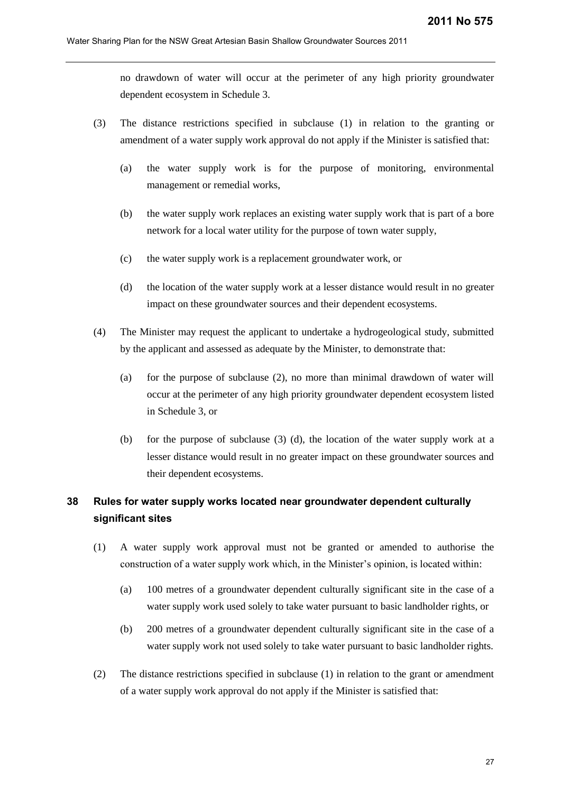no drawdown of water will occur at the perimeter of any high priority groundwater dependent ecosystem in Schedule 3.

- (3) The distance restrictions specified in subclause (1) in relation to the granting or amendment of a water supply work approval do not apply if the Minister is satisfied that:
	- (a) the water supply work is for the purpose of monitoring, environmental management or remedial works,
	- (b) the water supply work replaces an existing water supply work that is part of a bore network for a local water utility for the purpose of town water supply,
	- (c) the water supply work is a replacement groundwater work, or
	- (d) the location of the water supply work at a lesser distance would result in no greater impact on these groundwater sources and their dependent ecosystems.
- (4) The Minister may request the applicant to undertake a hydrogeological study, submitted by the applicant and assessed as adequate by the Minister, to demonstrate that:
	- (a) for the purpose of subclause (2), no more than minimal drawdown of water will occur at the perimeter of any high priority groundwater dependent ecosystem listed in Schedule 3, or
	- (b) for the purpose of subclause (3) (d), the location of the water supply work at a lesser distance would result in no greater impact on these groundwater sources and their dependent ecosystems.

# **38 Rules for water supply works located near groundwater dependent culturally significant sites**

- (1) A water supply work approval must not be granted or amended to authorise the construction of a water supply work which, in the Minister's opinion, is located within:
	- (a) 100 metres of a groundwater dependent culturally significant site in the case of a water supply work used solely to take water pursuant to basic landholder rights, or
	- (b) 200 metres of a groundwater dependent culturally significant site in the case of a water supply work not used solely to take water pursuant to basic landholder rights.
- (2) The distance restrictions specified in subclause (1) in relation to the grant or amendment of a water supply work approval do not apply if the Minister is satisfied that: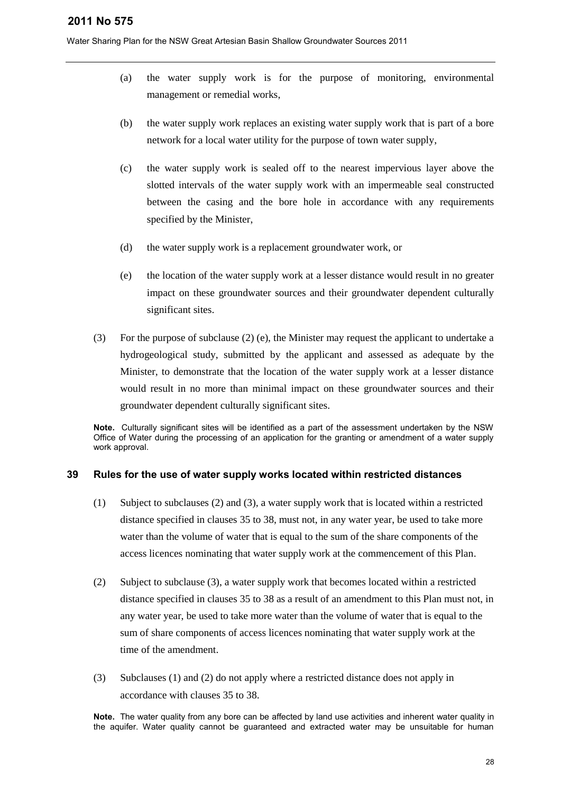Water Sharing Plan for the NSW Great Artesian Basin Shallow Groundwater Sources 2011

- (a) the water supply work is for the purpose of monitoring, environmental management or remedial works,
- (b) the water supply work replaces an existing water supply work that is part of a bore network for a local water utility for the purpose of town water supply,
- (c) the water supply work is sealed off to the nearest impervious layer above the slotted intervals of the water supply work with an impermeable seal constructed between the casing and the bore hole in accordance with any requirements specified by the Minister,
- (d) the water supply work is a replacement groundwater work, or
- (e) the location of the water supply work at a lesser distance would result in no greater impact on these groundwater sources and their groundwater dependent culturally significant sites.
- (3) For the purpose of subclause (2) (e), the Minister may request the applicant to undertake a hydrogeological study, submitted by the applicant and assessed as adequate by the Minister, to demonstrate that the location of the water supply work at a lesser distance would result in no more than minimal impact on these groundwater sources and their groundwater dependent culturally significant sites.

**Note.** Culturally significant sites will be identified as a part of the assessment undertaken by the NSW Office of Water during the processing of an application for the granting or amendment of a water supply work approval.

## **39 Rules for the use of water supply works located within restricted distances**

- (1) Subject to subclauses (2) and (3), a water supply work that is located within a restricted distance specified in clauses 35 to 38, must not, in any water year, be used to take more water than the volume of water that is equal to the sum of the share components of the access licences nominating that water supply work at the commencement of this Plan.
- (2) Subject to subclause (3), a water supply work that becomes located within a restricted distance specified in clauses 35 to 38 as a result of an amendment to this Plan must not, in any water year, be used to take more water than the volume of water that is equal to the sum of share components of access licences nominating that water supply work at the time of the amendment.
- (3) Subclauses (1) and (2) do not apply where a restricted distance does not apply in accordance with clauses 35 to 38.

**Note.** The water quality from any bore can be affected by land use activities and inherent water quality in the aquifer. Water quality cannot be guaranteed and extracted water may be unsuitable for human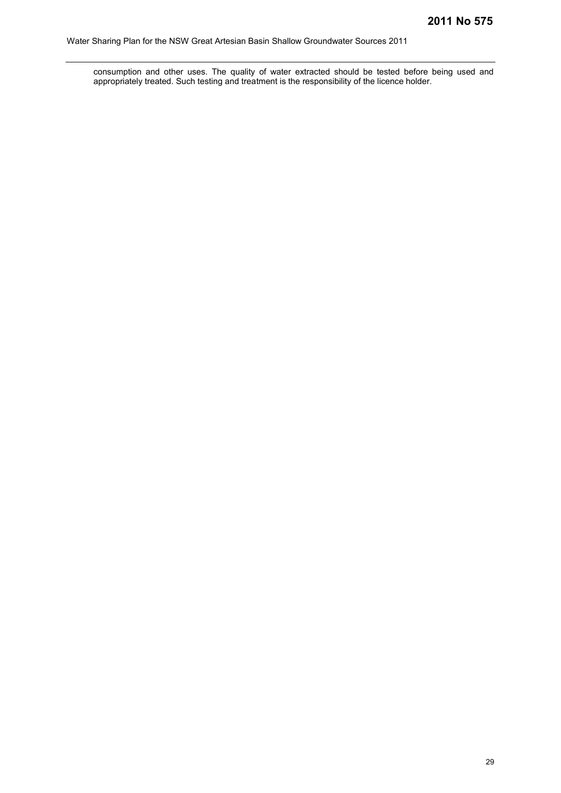consumption and other uses. The quality of water extracted should be tested before being used and appropriately treated. Such testing and treatment is the responsibility of the licence holder.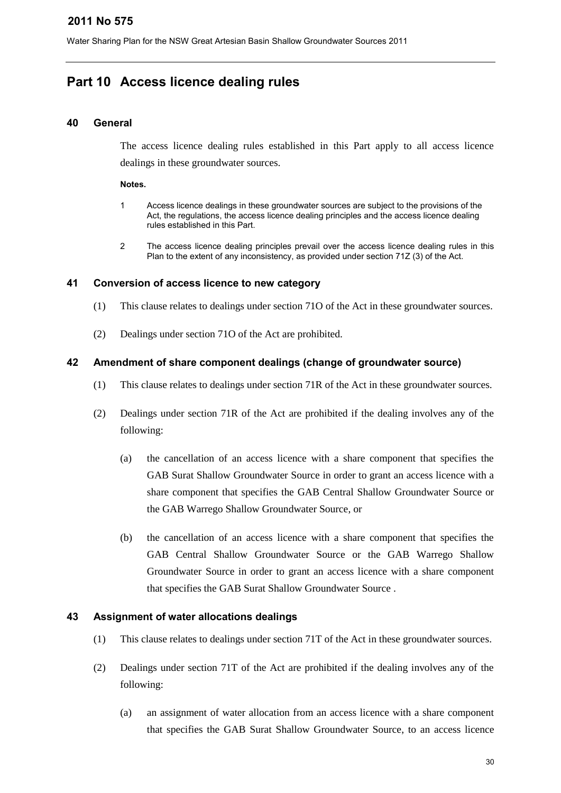# <span id="page-29-0"></span>**Part 10 Access licence dealing rules**

## **40 General**

The access licence dealing rules established in this Part apply to all access licence dealings in these groundwater sources.

#### **Notes.**

- 1 Access licence dealings in these groundwater sources are subject to the provisions of the Act, the regulations, the access licence dealing principles and the access licence dealing rules established in this Part.
- 2 The access licence dealing principles prevail over the access licence dealing rules in this Plan to the extent of any inconsistency, as provided under section 71Z (3) of the Act.

## **41 Conversion of access licence to new category**

- (1) This clause relates to dealings under section 71O of the Act in these groundwater sources.
- (2) Dealings under section 71O of the Act are prohibited.

## **42 Amendment of share component dealings (change of groundwater source)**

- (1) This clause relates to dealings under section 71R of the Act in these groundwater sources.
- (2) Dealings under section 71R of the Act are prohibited if the dealing involves any of the following:
	- (a) the cancellation of an access licence with a share component that specifies the GAB Surat Shallow Groundwater Source in order to grant an access licence with a share component that specifies the GAB Central Shallow Groundwater Source or the GAB Warrego Shallow Groundwater Source, or
	- (b) the cancellation of an access licence with a share component that specifies the GAB Central Shallow Groundwater Source or the GAB Warrego Shallow Groundwater Source in order to grant an access licence with a share component that specifies the GAB Surat Shallow Groundwater Source .

## **43 Assignment of water allocations dealings**

- (1) This clause relates to dealings under section 71T of the Act in these groundwater sources.
- (2) Dealings under section 71T of the Act are prohibited if the dealing involves any of the following:
	- (a) an assignment of water allocation from an access licence with a share component that specifies the GAB Surat Shallow Groundwater Source, to an access licence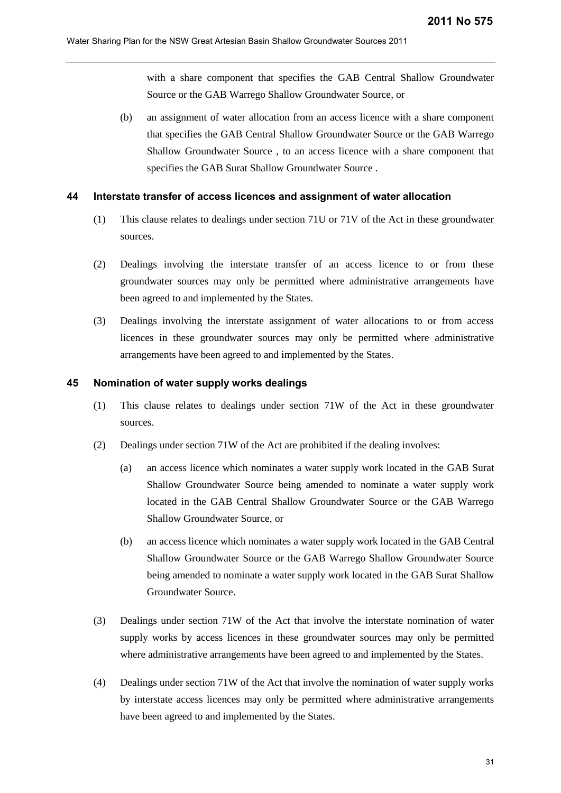with a share component that specifies the GAB Central Shallow Groundwater Source or the GAB Warrego Shallow Groundwater Source, or

(b) an assignment of water allocation from an access licence with a share component that specifies the GAB Central Shallow Groundwater Source or the GAB Warrego Shallow Groundwater Source , to an access licence with a share component that specifies the GAB Surat Shallow Groundwater Source .

#### **44 Interstate transfer of access licences and assignment of water allocation**

- (1) This clause relates to dealings under section 71U or 71V of the Act in these groundwater sources.
- (2) Dealings involving the interstate transfer of an access licence to or from these groundwater sources may only be permitted where administrative arrangements have been agreed to and implemented by the States.
- (3) Dealings involving the interstate assignment of water allocations to or from access licences in these groundwater sources may only be permitted where administrative arrangements have been agreed to and implemented by the States.

#### **45 Nomination of water supply works dealings**

- (1) This clause relates to dealings under section 71W of the Act in these groundwater sources.
- (2) Dealings under section 71W of the Act are prohibited if the dealing involves:
	- (a) an access licence which nominates a water supply work located in the GAB Surat Shallow Groundwater Source being amended to nominate a water supply work located in the GAB Central Shallow Groundwater Source or the GAB Warrego Shallow Groundwater Source, or
	- (b) an access licence which nominates a water supply work located in the GAB Central Shallow Groundwater Source or the GAB Warrego Shallow Groundwater Source being amended to nominate a water supply work located in the GAB Surat Shallow Groundwater Source.
- (3) Dealings under section 71W of the Act that involve the interstate nomination of water supply works by access licences in these groundwater sources may only be permitted where administrative arrangements have been agreed to and implemented by the States.
- (4) Dealings under section 71W of the Act that involve the nomination of water supply works by interstate access licences may only be permitted where administrative arrangements have been agreed to and implemented by the States.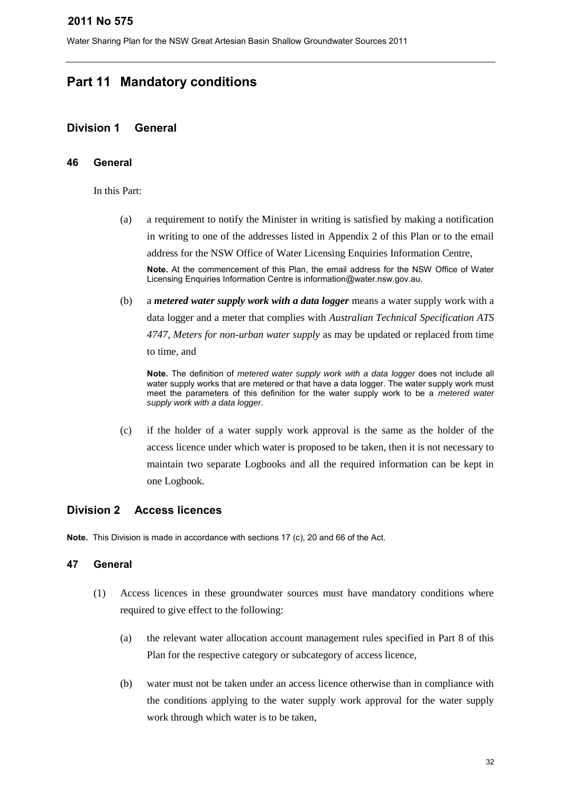Water Sharing Plan for the NSW Great Artesian Basin Shallow Groundwater Sources 2011

# <span id="page-31-0"></span>**Part 11 Mandatory conditions**

## <span id="page-31-1"></span>**Division 1 General**

## **46 General**

In this Part:

(a) a requirement to notify the Minister in writing is satisfied by making a notification in writing to one of the addresses listed in Appendix 2 of this Plan or to the email address for the NSW Office of Water Licensing Enquiries Information Centre,

**Note.** At the commencement of this Plan, the email address for the NSW Office of Water Licensing Enquiries Information Centre is information@water.nsw.gov.au.

(b) a *metered water supply work with a data logger* means a water supply work with a data logger and a meter that complies with *Australian Technical Specification ATS 4747, Meters for non-urban water supply* as may be updated or replaced from time to time, and

**Note.** The definition of *metered water supply work with a data logger* does not include all water supply works that are metered or that have a data logger. The water supply work must meet the parameters of this definition for the water supply work to be a *metered water supply work with a data logger*.

(c) if the holder of a water supply work approval is the same as the holder of the access licence under which water is proposed to be taken, then it is not necessary to maintain two separate Logbooks and all the required information can be kept in one Logbook.

## <span id="page-31-2"></span>**Division 2 Access licences**

**Note.** This Division is made in accordance with sections 17 (c), 20 and 66 of the Act.

## **47 General**

- (1) Access licences in these groundwater sources must have mandatory conditions where required to give effect to the following:
	- (a) the relevant water allocation account management rules specified in Part 8 of this Plan for the respective category or subcategory of access licence,
	- (b) water must not be taken under an access licence otherwise than in compliance with the conditions applying to the water supply work approval for the water supply work through which water is to be taken,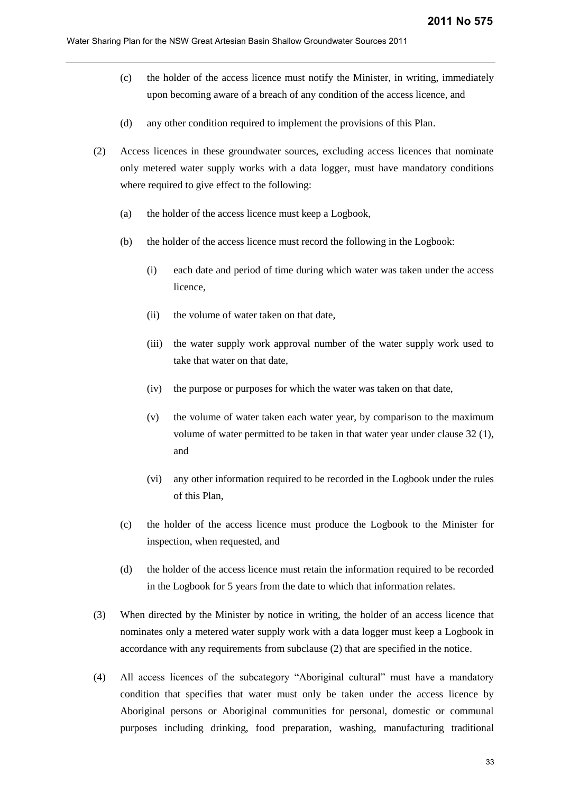- (c) the holder of the access licence must notify the Minister, in writing, immediately upon becoming aware of a breach of any condition of the access licence, and
- (d) any other condition required to implement the provisions of this Plan.
- (2) Access licences in these groundwater sources, excluding access licences that nominate only metered water supply works with a data logger, must have mandatory conditions where required to give effect to the following:
	- (a) the holder of the access licence must keep a Logbook,
	- (b) the holder of the access licence must record the following in the Logbook:
		- (i) each date and period of time during which water was taken under the access licence,
		- (ii) the volume of water taken on that date,
		- (iii) the water supply work approval number of the water supply work used to take that water on that date,
		- (iv) the purpose or purposes for which the water was taken on that date,
		- (v) the volume of water taken each water year, by comparison to the maximum volume of water permitted to be taken in that water year under clause 32 (1), and
		- (vi) any other information required to be recorded in the Logbook under the rules of this Plan,
	- (c) the holder of the access licence must produce the Logbook to the Minister for inspection, when requested, and
	- (d) the holder of the access licence must retain the information required to be recorded in the Logbook for 5 years from the date to which that information relates.
- (3) When directed by the Minister by notice in writing, the holder of an access licence that nominates only a metered water supply work with a data logger must keep a Logbook in accordance with any requirements from subclause (2) that are specified in the notice.
- (4) All access licences of the subcategory "Aboriginal cultural" must have a mandatory condition that specifies that water must only be taken under the access licence by Aboriginal persons or Aboriginal communities for personal, domestic or communal purposes including drinking, food preparation, washing, manufacturing traditional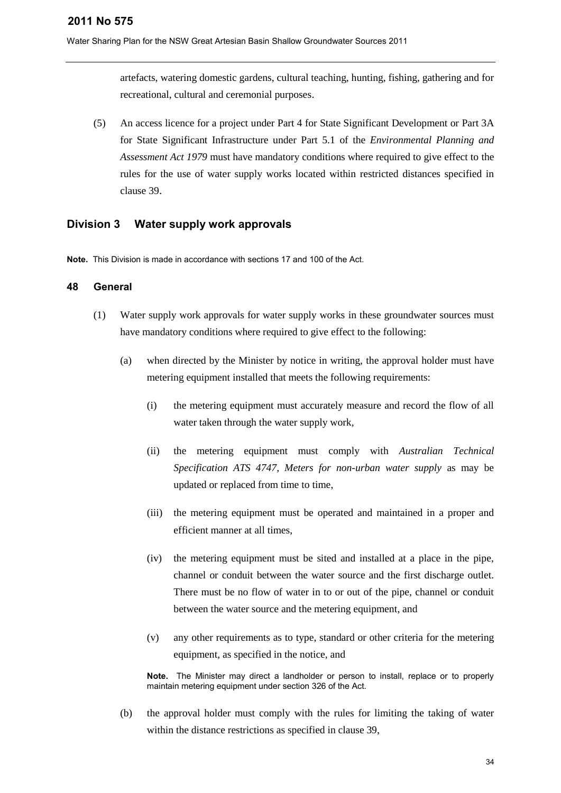Water Sharing Plan for the NSW Great Artesian Basin Shallow Groundwater Sources 2011

artefacts, watering domestic gardens, cultural teaching, hunting, fishing, gathering and for recreational, cultural and ceremonial purposes.

(5) An access licence for a project under Part 4 for State Significant Development or Part 3A for State Significant Infrastructure under Part 5.1 of the *Environmental Planning and Assessment Act 1979* must have mandatory conditions where required to give effect to the rules for the use of water supply works located within restricted distances specified in clause 39.

## <span id="page-33-0"></span>**Division 3 Water supply work approvals**

**Note.** This Division is made in accordance with sections 17 and 100 of the Act.

## **48 General**

- (1) Water supply work approvals for water supply works in these groundwater sources must have mandatory conditions where required to give effect to the following:
	- (a) when directed by the Minister by notice in writing, the approval holder must have metering equipment installed that meets the following requirements:
		- (i) the metering equipment must accurately measure and record the flow of all water taken through the water supply work.
		- (ii) the metering equipment must comply with *Australian Technical Specification ATS 4747, Meters for non-urban water supply* as may be updated or replaced from time to time,
		- (iii) the metering equipment must be operated and maintained in a proper and efficient manner at all times,
		- (iv) the metering equipment must be sited and installed at a place in the pipe, channel or conduit between the water source and the first discharge outlet. There must be no flow of water in to or out of the pipe, channel or conduit between the water source and the metering equipment, and
		- (v) any other requirements as to type, standard or other criteria for the metering equipment, as specified in the notice, and

**Note.** The Minister may direct a landholder or person to install, replace or to properly maintain metering equipment under section 326 of the Act.

(b) the approval holder must comply with the rules for limiting the taking of water within the distance restrictions as specified in clause 39,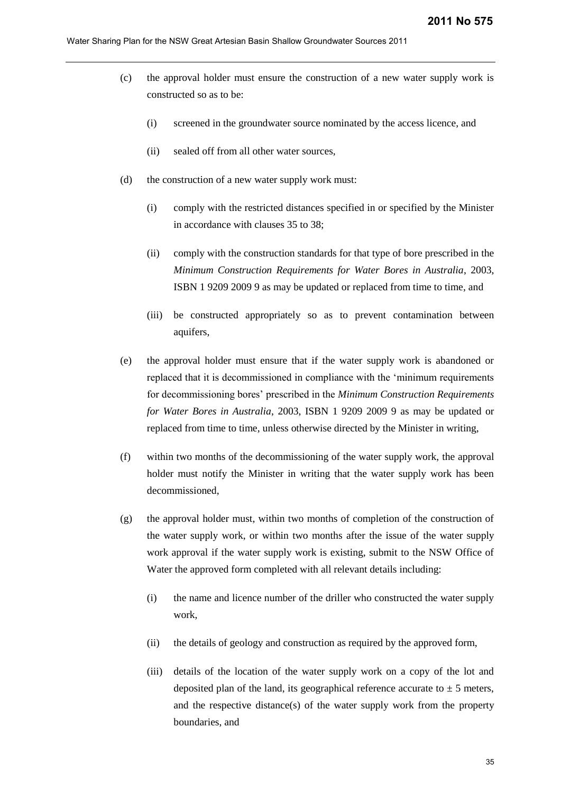- (c) the approval holder must ensure the construction of a new water supply work is constructed so as to be:
	- (i) screened in the groundwater source nominated by the access licence, and
	- (ii) sealed off from all other water sources,
- (d) the construction of a new water supply work must:
	- (i) comply with the restricted distances specified in or specified by the Minister in accordance with clauses 35 to 38;
	- (ii) comply with the construction standards for that type of bore prescribed in the *Minimum Construction Requirements for Water Bores in Australia*, 2003, ISBN 1 9209 2009 9 as may be updated or replaced from time to time, and
	- (iii) be constructed appropriately so as to prevent contamination between aquifers,
- (e) the approval holder must ensure that if the water supply work is abandoned or replaced that it is decommissioned in compliance with the 'minimum requirements for decommissioning bores' prescribed in the *Minimum Construction Requirements for Water Bores in Australia*, 2003, ISBN 1 9209 2009 9 as may be updated or replaced from time to time, unless otherwise directed by the Minister in writing,
- (f) within two months of the decommissioning of the water supply work, the approval holder must notify the Minister in writing that the water supply work has been decommissioned,
- (g) the approval holder must, within two months of completion of the construction of the water supply work, or within two months after the issue of the water supply work approval if the water supply work is existing, submit to the NSW Office of Water the approved form completed with all relevant details including:
	- (i) the name and licence number of the driller who constructed the water supply work,
	- (ii) the details of geology and construction as required by the approved form,
	- (iii) details of the location of the water supply work on a copy of the lot and deposited plan of the land, its geographical reference accurate to  $\pm$  5 meters, and the respective distance(s) of the water supply work from the property boundaries, and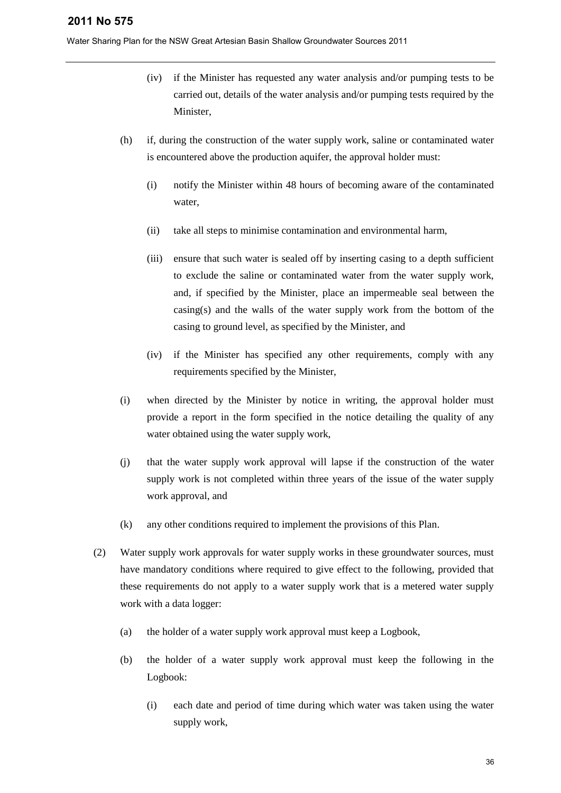- (iv) if the Minister has requested any water analysis and/or pumping tests to be carried out, details of the water analysis and/or pumping tests required by the Minister,
- (h) if, during the construction of the water supply work, saline or contaminated water is encountered above the production aquifer, the approval holder must:
	- (i) notify the Minister within 48 hours of becoming aware of the contaminated water,
	- (ii) take all steps to minimise contamination and environmental harm,
	- (iii) ensure that such water is sealed off by inserting casing to a depth sufficient to exclude the saline or contaminated water from the water supply work, and, if specified by the Minister, place an impermeable seal between the casing(s) and the walls of the water supply work from the bottom of the casing to ground level, as specified by the Minister, and
	- (iv) if the Minister has specified any other requirements, comply with any requirements specified by the Minister,
- (i) when directed by the Minister by notice in writing, the approval holder must provide a report in the form specified in the notice detailing the quality of any water obtained using the water supply work,
- (j) that the water supply work approval will lapse if the construction of the water supply work is not completed within three years of the issue of the water supply work approval, and
- (k) any other conditions required to implement the provisions of this Plan.
- (2) Water supply work approvals for water supply works in these groundwater sources, must have mandatory conditions where required to give effect to the following, provided that these requirements do not apply to a water supply work that is a metered water supply work with a data logger:
	- (a) the holder of a water supply work approval must keep a Logbook,
	- (b) the holder of a water supply work approval must keep the following in the Logbook:
		- (i) each date and period of time during which water was taken using the water supply work,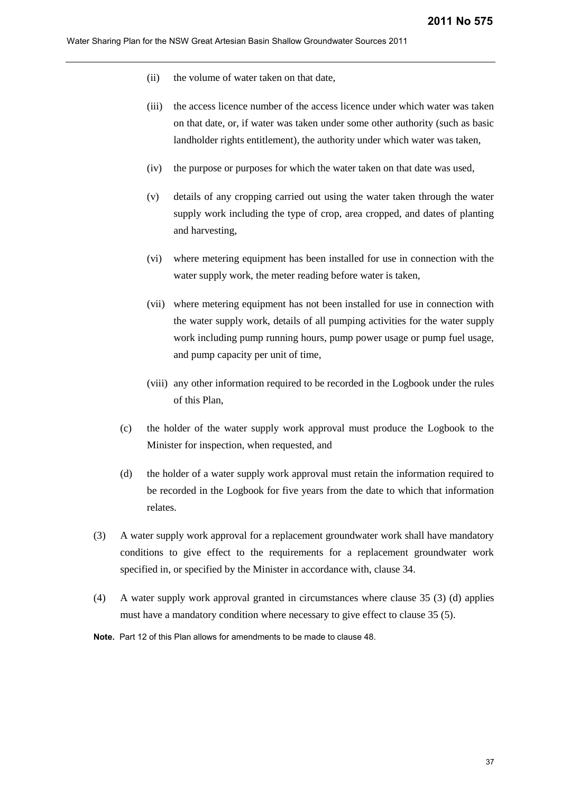- (ii) the volume of water taken on that date,
- (iii) the access licence number of the access licence under which water was taken on that date, or, if water was taken under some other authority (such as basic landholder rights entitlement), the authority under which water was taken,
- (iv) the purpose or purposes for which the water taken on that date was used,
- (v) details of any cropping carried out using the water taken through the water supply work including the type of crop, area cropped, and dates of planting and harvesting,
- (vi) where metering equipment has been installed for use in connection with the water supply work, the meter reading before water is taken.
- (vii) where metering equipment has not been installed for use in connection with the water supply work, details of all pumping activities for the water supply work including pump running hours, pump power usage or pump fuel usage, and pump capacity per unit of time,
- (viii) any other information required to be recorded in the Logbook under the rules of this Plan,
- (c) the holder of the water supply work approval must produce the Logbook to the Minister for inspection, when requested, and
- (d) the holder of a water supply work approval must retain the information required to be recorded in the Logbook for five years from the date to which that information relates.
- (3) A water supply work approval for a replacement groundwater work shall have mandatory conditions to give effect to the requirements for a replacement groundwater work specified in, or specified by the Minister in accordance with, clause 34.
- (4) A water supply work approval granted in circumstances where clause 35 (3) (d) applies must have a mandatory condition where necessary to give effect to clause 35 (5).
- **Note.** Part 12 of this Plan allows for amendments to be made to clause 48.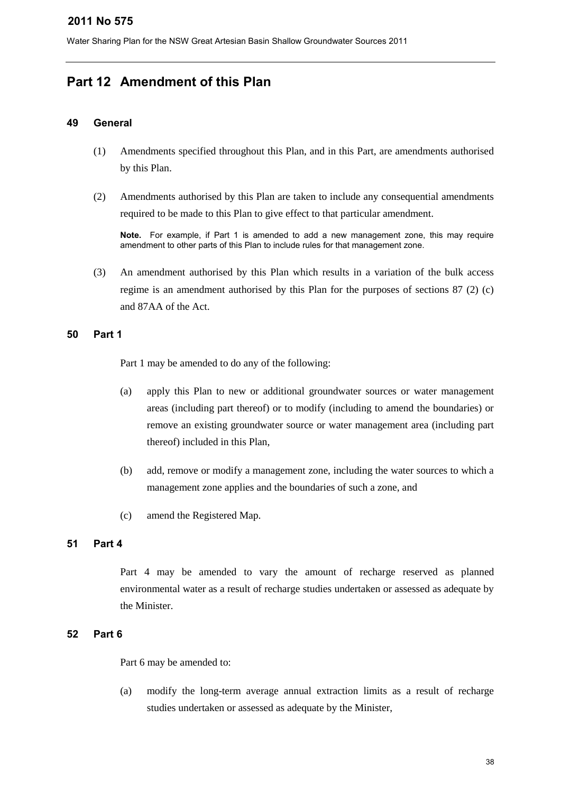# <span id="page-37-0"></span>**Part 12 Amendment of this Plan**

## **49 General**

- (1) Amendments specified throughout this Plan, and in this Part, are amendments authorised by this Plan.
- (2) Amendments authorised by this Plan are taken to include any consequential amendments required to be made to this Plan to give effect to that particular amendment.

**Note.** For example, if Part 1 is amended to add a new management zone, this may require amendment to other parts of this Plan to include rules for that management zone.

(3) An amendment authorised by this Plan which results in a variation of the bulk access regime is an amendment authorised by this Plan for the purposes of sections 87 (2) (c) and 87AA of the Act.

## **50 Part 1**

Part 1 may be amended to do any of the following:

- (a) apply this Plan to new or additional groundwater sources or water management areas (including part thereof) or to modify (including to amend the boundaries) or remove an existing groundwater source or water management area (including part thereof) included in this Plan,
- (b) add, remove or modify a management zone, including the water sources to which a management zone applies and the boundaries of such a zone, and
- (c) amend the Registered Map.

## **51 Part 4**

Part 4 may be amended to vary the amount of recharge reserved as planned environmental water as a result of recharge studies undertaken or assessed as adequate by the Minister.

## **52 Part 6**

Part 6 may be amended to:

(a) modify the long-term average annual extraction limits as a result of recharge studies undertaken or assessed as adequate by the Minister,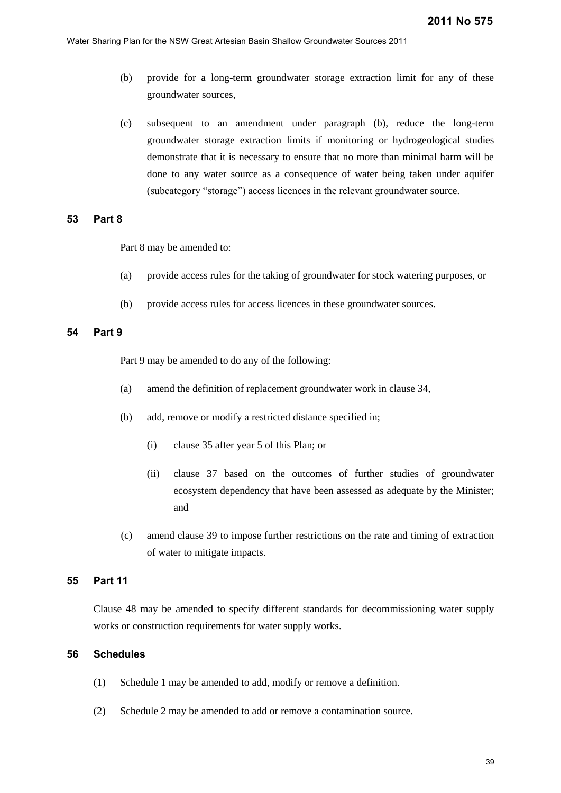- (b) provide for a long-term groundwater storage extraction limit for any of these groundwater sources,
- (c) subsequent to an amendment under paragraph (b), reduce the long-term groundwater storage extraction limits if monitoring or hydrogeological studies demonstrate that it is necessary to ensure that no more than minimal harm will be done to any water source as a consequence of water being taken under aquifer (subcategory "storage") access licences in the relevant groundwater source.

#### **53 Part 8**

Part 8 may be amended to:

- (a) provide access rules for the taking of groundwater for stock watering purposes, or
- (b) provide access rules for access licences in these groundwater sources.

## **54 Part 9**

Part 9 may be amended to do any of the following:

- (a) amend the definition of replacement groundwater work in clause 34,
- (b) add, remove or modify a restricted distance specified in;
	- (i) clause 35 after year 5 of this Plan; or
	- (ii) clause 37 based on the outcomes of further studies of groundwater ecosystem dependency that have been assessed as adequate by the Minister; and
- (c) amend clause 39 to impose further restrictions on the rate and timing of extraction of water to mitigate impacts.

#### **55 Part 11**

Clause 48 may be amended to specify different standards for decommissioning water supply works or construction requirements for water supply works.

## **56 Schedules**

- (1) Schedule 1 may be amended to add, modify or remove a definition.
- (2) Schedule 2 may be amended to add or remove a contamination source.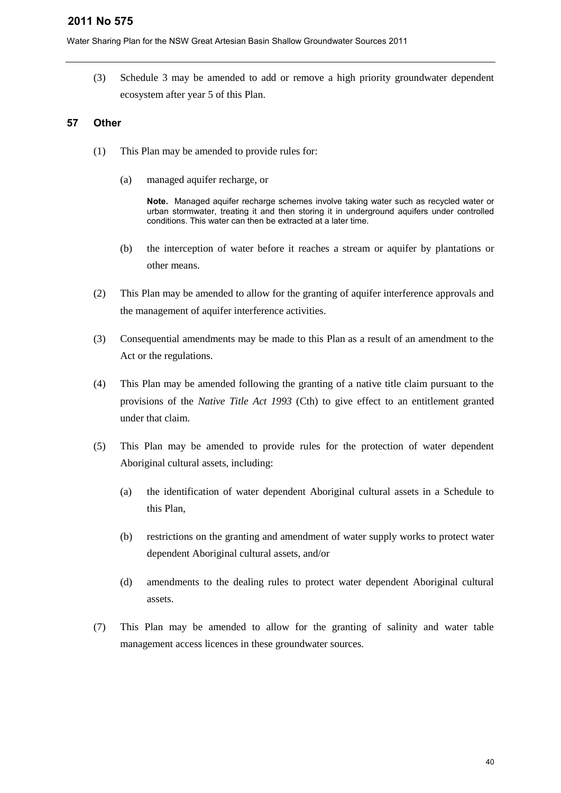Water Sharing Plan for the NSW Great Artesian Basin Shallow Groundwater Sources 2011

(3) Schedule 3 may be amended to add or remove a high priority groundwater dependent ecosystem after year 5 of this Plan.

## **57 Other**

- (1) This Plan may be amended to provide rules for:
	- (a) managed aquifer recharge, or

**Note.** Managed aquifer recharge schemes involve taking water such as recycled water or urban stormwater, treating it and then storing it in underground aquifers under controlled conditions. This water can then be extracted at a later time.

- (b) the interception of water before it reaches a stream or aquifer by plantations or other means.
- (2) This Plan may be amended to allow for the granting of aquifer interference approvals and the management of aquifer interference activities.
- (3) Consequential amendments may be made to this Plan as a result of an amendment to the Act or the regulations.
- (4) This Plan may be amended following the granting of a native title claim pursuant to the provisions of the *Native Title Act 1993* (Cth) to give effect to an entitlement granted under that claim.
- (5) This Plan may be amended to provide rules for the protection of water dependent Aboriginal cultural assets, including:
	- (a) the identification of water dependent Aboriginal cultural assets in a Schedule to this Plan,
	- (b) restrictions on the granting and amendment of water supply works to protect water dependent Aboriginal cultural assets, and/or
	- (d) amendments to the dealing rules to protect water dependent Aboriginal cultural assets.
- (7) This Plan may be amended to allow for the granting of salinity and water table management access licences in these groundwater sources.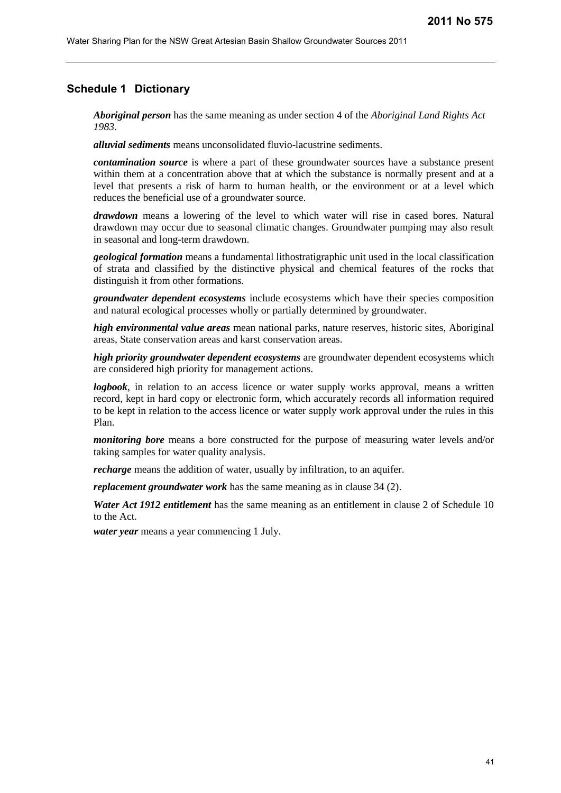## <span id="page-40-0"></span>**Schedule 1 Dictionary**

*Aboriginal person* has the same meaning as under section 4 of the *Aboriginal Land Rights Act 1983*.

*alluvial sediments* means unconsolidated fluvio-lacustrine sediments.

*contamination source* is where a part of these groundwater sources have a substance present within them at a concentration above that at which the substance is normally present and at a level that presents a risk of harm to human health, or the environment or at a level which reduces the beneficial use of a groundwater source.

*drawdown* means a lowering of the level to which water will rise in cased bores. Natural drawdown may occur due to seasonal climatic changes. Groundwater pumping may also result in seasonal and long-term drawdown.

*geological formation* means a fundamental lithostratigraphic unit used in the local classification of strata and classified by the distinctive physical and chemical features of the rocks that distinguish it from other formations.

*groundwater dependent ecosystems* include ecosystems which have their species composition and natural ecological processes wholly or partially determined by groundwater.

*high environmental value areas* mean national parks, nature reserves, historic sites, Aboriginal areas, State conservation areas and karst conservation areas.

*high priority groundwater dependent ecosystems* are groundwater dependent ecosystems which are considered high priority for management actions.

*logbook*, in relation to an access licence or water supply works approval, means a written record, kept in hard copy or electronic form, which accurately records all information required to be kept in relation to the access licence or water supply work approval under the rules in this Plan.

*monitoring bore* means a bore constructed for the purpose of measuring water levels and/or taking samples for water quality analysis.

*recharge* means the addition of water, usually by infiltration, to an aquifer.

*replacement groundwater work* has the same meaning as in clause 34 (2).

*Water Act 1912 entitlement* has the same meaning as an entitlement in clause 2 of Schedule 10 to the Act.

*water year* means a year commencing 1 July.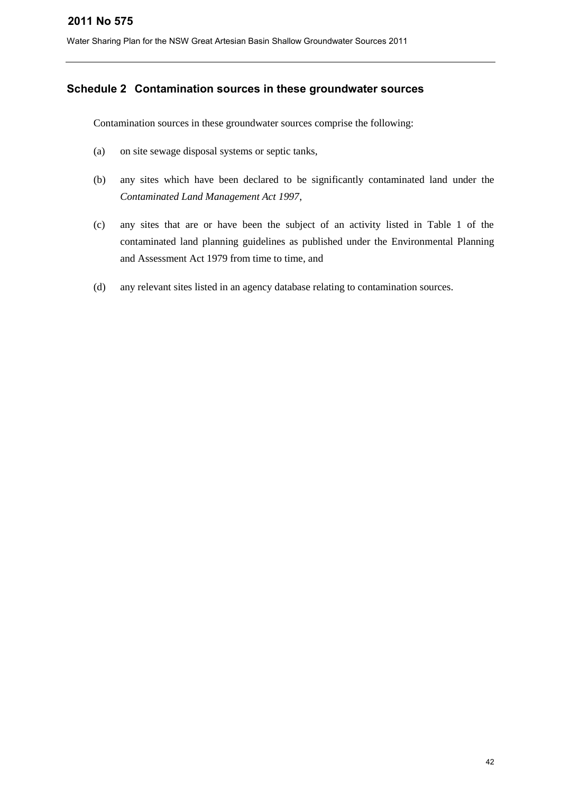## <span id="page-41-0"></span>**Schedule 2 Contamination sources in these groundwater sources**

Contamination sources in these groundwater sources comprise the following:

- (a) on site sewage disposal systems or septic tanks,
- (b) any sites which have been declared to be significantly contaminated land under the *[Contaminated Land Management Act 1997](http://www.legislation.nsw.gov.au/summarize/inforce/s/1/?xref=RecordType%3DACTTOC%20AND%20Year%3D1997%20AND%20Actno%3D140&nohits=y)*,
- (c) any sites that are or have been the subject of an activity listed in Table 1 of the contaminated land planning guidelines as published under the Environmental Planning and Assessment Act 1979 from time to time, and
- (d) any relevant sites listed in an agency database relating to contamination sources.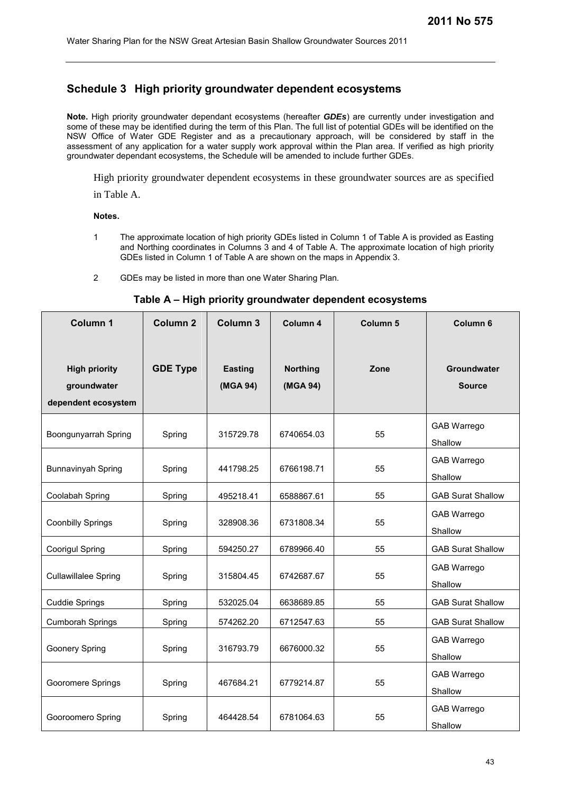## <span id="page-42-0"></span>**Schedule 3 High priority groundwater dependent ecosystems**

**Note.** High priority groundwater dependant ecosystems (hereafter *GDEs*) are currently under investigation and some of these may be identified during the term of this Plan. The full list of potential GDEs will be identified on the NSW Office of Water GDE Register and as a precautionary approach, will be considered by staff in the assessment of any application for a water supply work approval within the Plan area. If verified as high priority groundwater dependant ecosystems, the Schedule will be amended to include further GDEs.

High priority groundwater dependent ecosystems in these groundwater sources are as specified

in Table A.

**Notes.**

- 1 The approximate location of high priority GDEs listed in Column 1 of Table A is provided as Easting and Northing coordinates in Columns 3 and 4 of Table A. The approximate location of high priority GDEs listed in Column 1 of Table A are shown on the maps in Appendix 3.
- 2 GDEs may be listed in more than one Water Sharing Plan.

#### **Table A – High priority groundwater dependent ecosystems**

| <b>Column 1</b>                                            | Column <sub>2</sub> | Column 3                   | Column 4                    | Column <sub>5</sub> | Column 6                            |
|------------------------------------------------------------|---------------------|----------------------------|-----------------------------|---------------------|-------------------------------------|
| <b>High priority</b><br>groundwater<br>dependent ecosystem | <b>GDE Type</b>     | <b>Easting</b><br>(MGA 94) | <b>Northing</b><br>(MGA 94) | Zone                | <b>Groundwater</b><br><b>Source</b> |
| Boongunyarrah Spring                                       | Spring              | 315729.78                  | 6740654.03                  | 55                  | GAB Warrego<br>Shallow              |
| Bunnavinyah Spring                                         | Spring              | 441798.25                  | 6766198.71                  | 55                  | GAB Warrego<br>Shallow              |
| Coolabah Spring                                            | Spring              | 495218.41                  | 6588867.61                  | 55                  | <b>GAB Surat Shallow</b>            |
| <b>Coonbilly Springs</b>                                   | Spring              | 328908.36                  | 6731808.34                  | 55                  | GAB Warrego<br>Shallow              |
| Coorigul Spring                                            | Spring              | 594250.27                  | 6789966.40                  | 55                  | <b>GAB Surat Shallow</b>            |
| <b>Cullawillalee Spring</b>                                | Spring              | 315804.45                  | 6742687.67                  | 55                  | GAB Warrego<br>Shallow              |
| <b>Cuddie Springs</b>                                      | Spring              | 532025.04                  | 6638689.85                  | 55                  | <b>GAB Surat Shallow</b>            |
| <b>Cumborah Springs</b>                                    | Spring              | 574262.20                  | 6712547.63                  | 55                  | <b>GAB Surat Shallow</b>            |
| Goonery Spring                                             | Spring              | 316793.79                  | 6676000.32                  | 55                  | GAB Warrego<br>Shallow              |
| Gooromere Springs                                          | Spring              | 467684.21                  | 6779214.87                  | 55                  | GAB Warrego<br>Shallow              |
| Gooroomero Spring                                          | Spring              | 464428.54                  | 6781064.63                  | 55                  | GAB Warrego<br>Shallow              |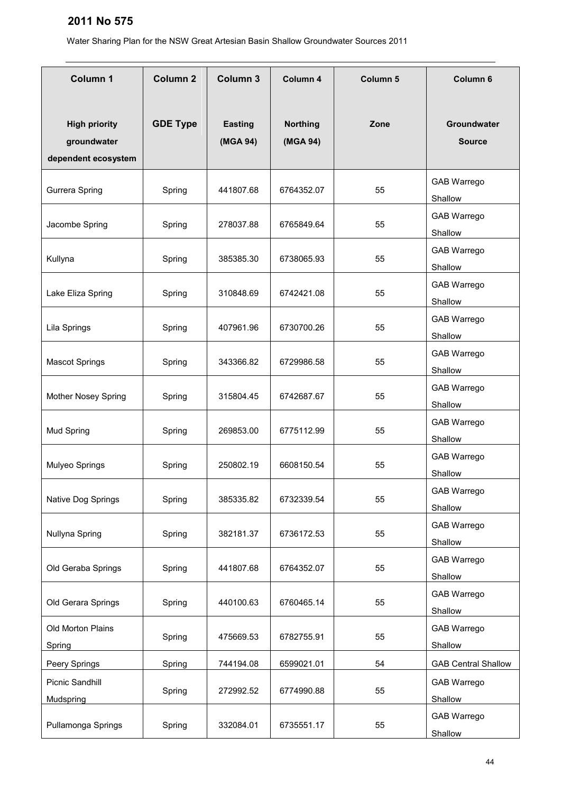| <b>Column 1</b>                                            | <b>Column 2</b> | Column 3                   | Column 4                    | <b>Column 5</b> | Column 6                      |
|------------------------------------------------------------|-----------------|----------------------------|-----------------------------|-----------------|-------------------------------|
| <b>High priority</b><br>groundwater<br>dependent ecosystem | <b>GDE Type</b> | <b>Easting</b><br>(MGA 94) | <b>Northing</b><br>(MGA 94) | Zone            | Groundwater<br><b>Source</b>  |
| Gurrera Spring                                             | Spring          | 441807.68                  | 6764352.07                  | 55              | <b>GAB Warrego</b><br>Shallow |
| Jacombe Spring                                             | Spring          | 278037.88                  | 6765849.64                  | 55              | <b>GAB Warrego</b><br>Shallow |
| Kullyna                                                    | Spring          | 385385.30                  | 6738065.93                  | 55              | <b>GAB Warrego</b><br>Shallow |
| Lake Eliza Spring                                          | Spring          | 310848.69                  | 6742421.08                  | 55              | <b>GAB Warrego</b><br>Shallow |
| Lila Springs                                               | Spring          | 407961.96                  | 6730700.26                  | 55              | <b>GAB Warrego</b><br>Shallow |
| <b>Mascot Springs</b>                                      | Spring          | 343366.82                  | 6729986.58                  | 55              | GAB Warrego<br>Shallow        |
| Mother Nosey Spring                                        | Spring          | 315804.45                  | 6742687.67                  | 55              | GAB Warrego<br>Shallow        |
| Mud Spring                                                 | Spring          | 269853.00                  | 6775112.99                  | 55              | GAB Warrego<br>Shallow        |
| Mulyeo Springs                                             | Spring          | 250802.19                  | 6608150.54                  | 55              | GAB Warrego<br>Shallow        |
| Native Dog Springs                                         | Spring          | 385335.82                  | 6732339.54                  | 55              | GAB Warrego<br>Shallow        |
| Nullyna Spring                                             | Spring          | 382181.37                  | 6736172.53                  | 55              | GAB Warrego<br>Shallow        |
| Old Geraba Springs                                         | Spring          | 441807.68                  | 6764352.07                  | 55              | GAB Warrego<br>Shallow        |
| Old Gerara Springs                                         | Spring          | 440100.63                  | 6760465.14                  | 55              | GAB Warrego<br>Shallow        |
| Old Morton Plains<br>Spring                                | Spring          | 475669.53                  | 6782755.91                  | 55              | GAB Warrego<br>Shallow        |
| Peery Springs                                              | Spring          | 744194.08                  | 6599021.01                  | 54              | <b>GAB Central Shallow</b>    |
| Picnic Sandhill<br>Mudspring                               | Spring          | 272992.52                  | 6774990.88                  | 55              | <b>GAB Warrego</b><br>Shallow |
| Pullamonga Springs                                         | Spring          | 332084.01                  | 6735551.17                  | 55              | GAB Warrego<br>Shallow        |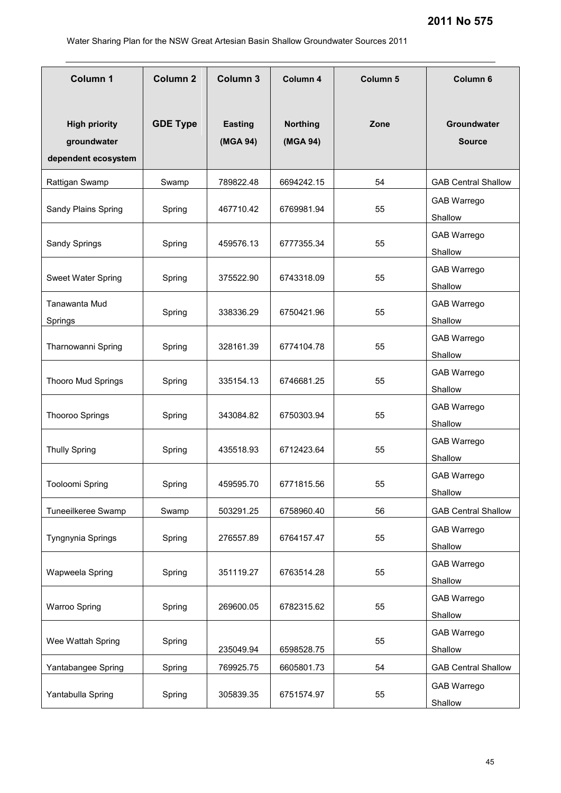| <b>Column 1</b>                                            | <b>Column 2</b> | Column 3                   | Column 4                    | Column 5 | Column 6                      |
|------------------------------------------------------------|-----------------|----------------------------|-----------------------------|----------|-------------------------------|
| <b>High priority</b><br>groundwater<br>dependent ecosystem | <b>GDE Type</b> | <b>Easting</b><br>(MGA 94) | <b>Northing</b><br>(MGA 94) | Zone     | Groundwater<br><b>Source</b>  |
| Rattigan Swamp                                             | Swamp           | 789822.48                  | 6694242.15                  | 54       | <b>GAB Central Shallow</b>    |
| Sandy Plains Spring                                        | Spring          | 467710.42                  | 6769981.94                  | 55       | GAB Warrego<br>Shallow        |
| Sandy Springs                                              | Spring          | 459576.13                  | 6777355.34                  | 55       | <b>GAB Warrego</b><br>Shallow |
| Sweet Water Spring                                         | Spring          | 375522.90                  | 6743318.09                  | 55       | <b>GAB Warrego</b><br>Shallow |
| Tanawanta Mud<br>Springs                                   | Spring          | 338336.29                  | 6750421.96                  | 55       | <b>GAB Warrego</b><br>Shallow |
| Tharnowanni Spring                                         | Spring          | 328161.39                  | 6774104.78                  | 55       | <b>GAB Warrego</b><br>Shallow |
| <b>Thooro Mud Springs</b>                                  | Spring          | 335154.13                  | 6746681.25                  | 55       | GAB Warrego<br>Shallow        |
| <b>Thooroo Springs</b>                                     | Spring          | 343084.82                  | 6750303.94                  | 55       | GAB Warrego<br>Shallow        |
| <b>Thully Spring</b>                                       | Spring          | 435518.93                  | 6712423.64                  | 55       | GAB Warrego<br>Shallow        |
| Tooloomi Spring                                            | Spring          | 459595.70                  | 6771815.56                  | 55       | GAB Warrego<br>Shallow        |
| Tuneeilkeree Swamp                                         | Swamp           | 503291.25                  | 6758960.40                  | 56       | <b>GAB Central Shallow</b>    |
| Tyngnynia Springs                                          | Spring          | 276557.89                  | 6764157.47                  | 55       | <b>GAB Warrego</b><br>Shallow |
| Wapweela Spring                                            | Spring          | 351119.27                  | 6763514.28                  | 55       | <b>GAB Warrego</b><br>Shallow |
| Warroo Spring                                              | Spring          | 269600.05                  | 6782315.62                  | 55       | GAB Warrego<br>Shallow        |
| Wee Wattah Spring                                          | Spring          | 235049.94                  | 6598528.75                  | 55       | GAB Warrego<br>Shallow        |
| Yantabangee Spring                                         | Spring          | 769925.75                  | 6605801.73                  | 54       | <b>GAB Central Shallow</b>    |
| Yantabulla Spring                                          | Spring          | 305839.35                  | 6751574.97                  | 55       | GAB Warrego<br>Shallow        |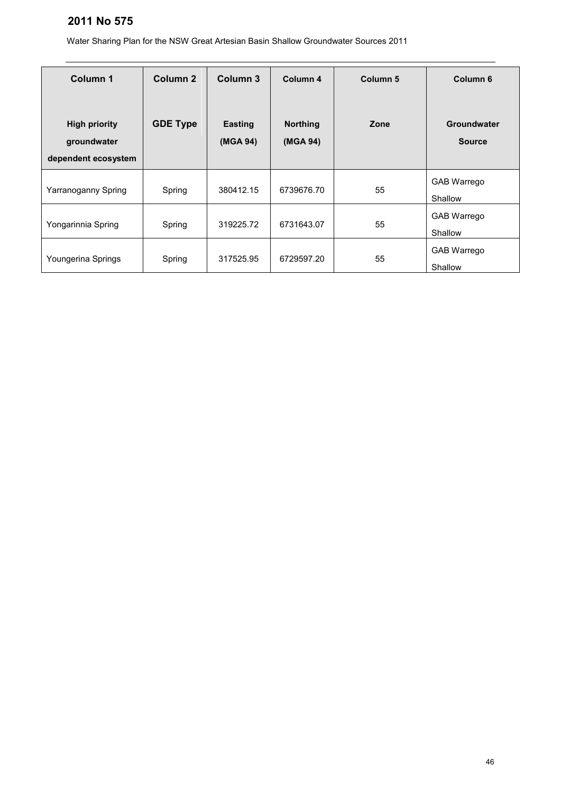| Column 1                                                   | Column <sub>2</sub> | Column 3                   | Column 4                    | Column <sub>5</sub> | Column <sub>6</sub>           |
|------------------------------------------------------------|---------------------|----------------------------|-----------------------------|---------------------|-------------------------------|
| <b>High priority</b><br>groundwater<br>dependent ecosystem | <b>GDE Type</b>     | <b>Easting</b><br>(MGA 94) | <b>Northing</b><br>(MGA 94) | Zone                | Groundwater<br><b>Source</b>  |
| Yarranoganny Spring                                        | Spring              | 380412.15                  | 6739676.70                  | 55                  | <b>GAB Warrego</b><br>Shallow |
| Yongarinnia Spring                                         | Spring              | 319225.72                  | 6731643.07                  | 55                  | <b>GAB Warrego</b><br>Shallow |
| Youngerina Springs                                         | Spring              | 317525.95                  | 6729597.20                  | 55                  | <b>GAB Warrego</b><br>Shallow |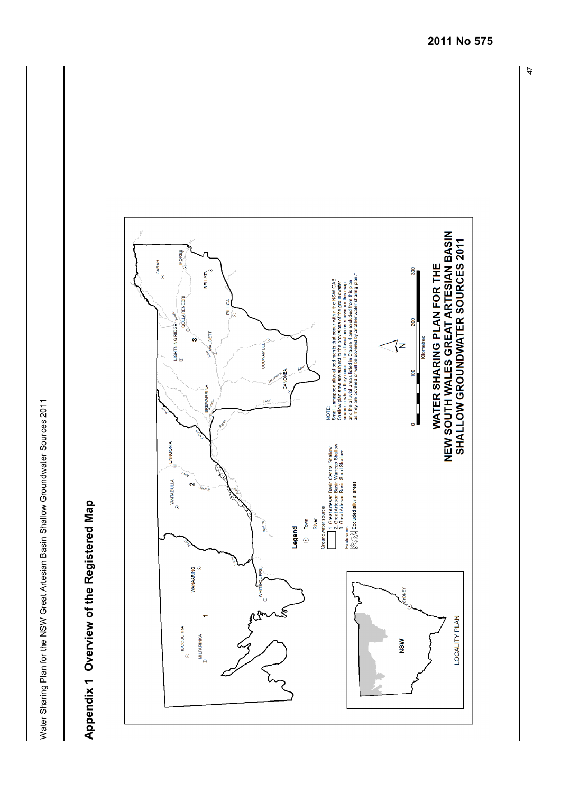<span id="page-46-0"></span>

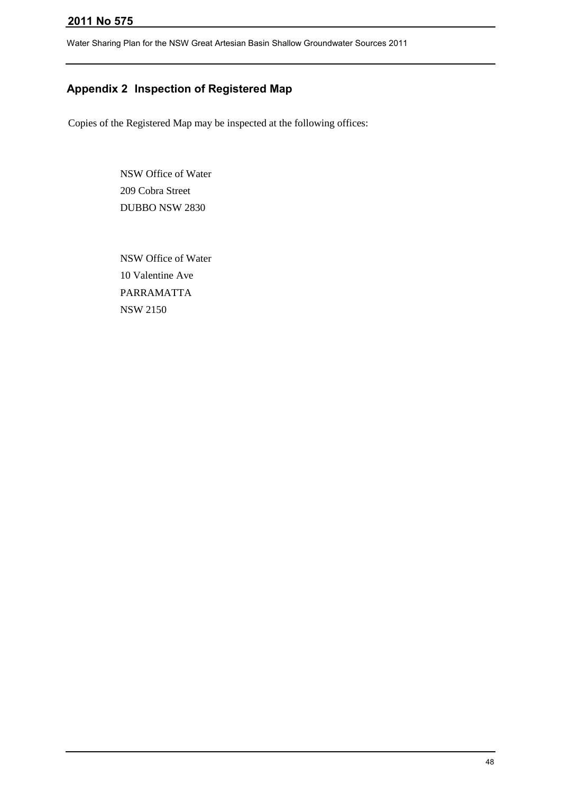Water Sharing Plan for the NSW Great Artesian Basin Shallow Groundwater Sources 2011

## <span id="page-47-0"></span>**Appendix 2 Inspection of Registered Map**

Copies of the Registered Map may be inspected at the following offices:

NSW Office of Water 209 Cobra Street DUBBO NSW 2830

NSW Office of Water 10 Valentine Ave PARRAMATTA NSW 2150